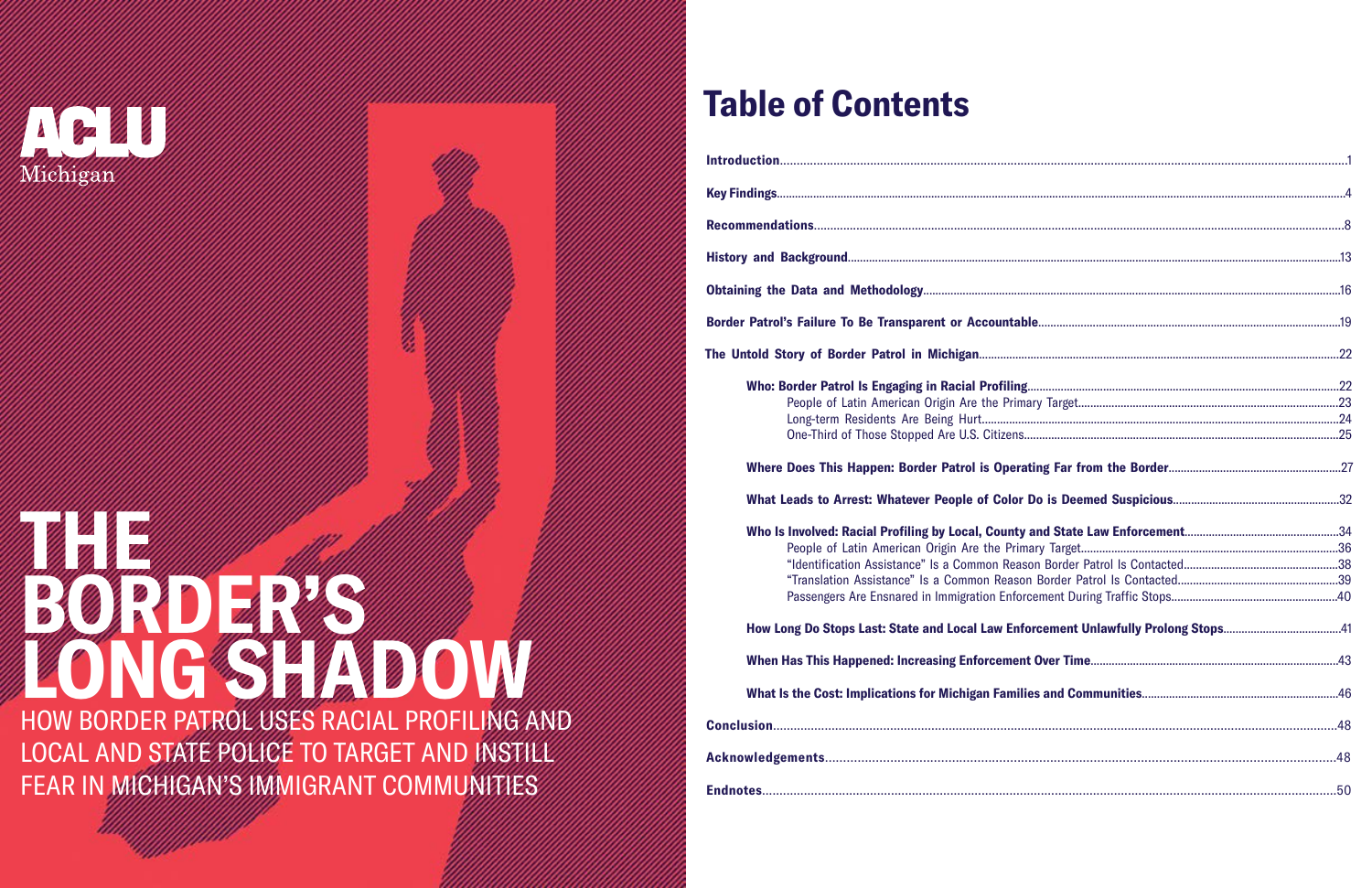

# **THE CONTRACTOR BORDER'S LONG SHADOW**

HOW BORDER PATROL USES RACIAL PROFILING AND LOCAL AND STATE POLICE TO TARGET AND INSTILL FEAR IN MICHIGAN'S IMMIGRANT COMMUNITIES

## **Table of Contents**

| Border Patrol's Failure To Be Transparent or Account                                                                                                                                      |
|-------------------------------------------------------------------------------------------------------------------------------------------------------------------------------------------|
| The Untold Story of Border Patrol in Michigan                                                                                                                                             |
| <b>Who: Border Patrol Is Engaging in Racial Profili</b><br>People of Latin American Origin Are the Pr<br>Long-term Residents Are Being Hurt<br>One-Third of Those Stopped Are U.S. Citize |
| <b>Where Does This Happen: Border Patrol is Ope</b>                                                                                                                                       |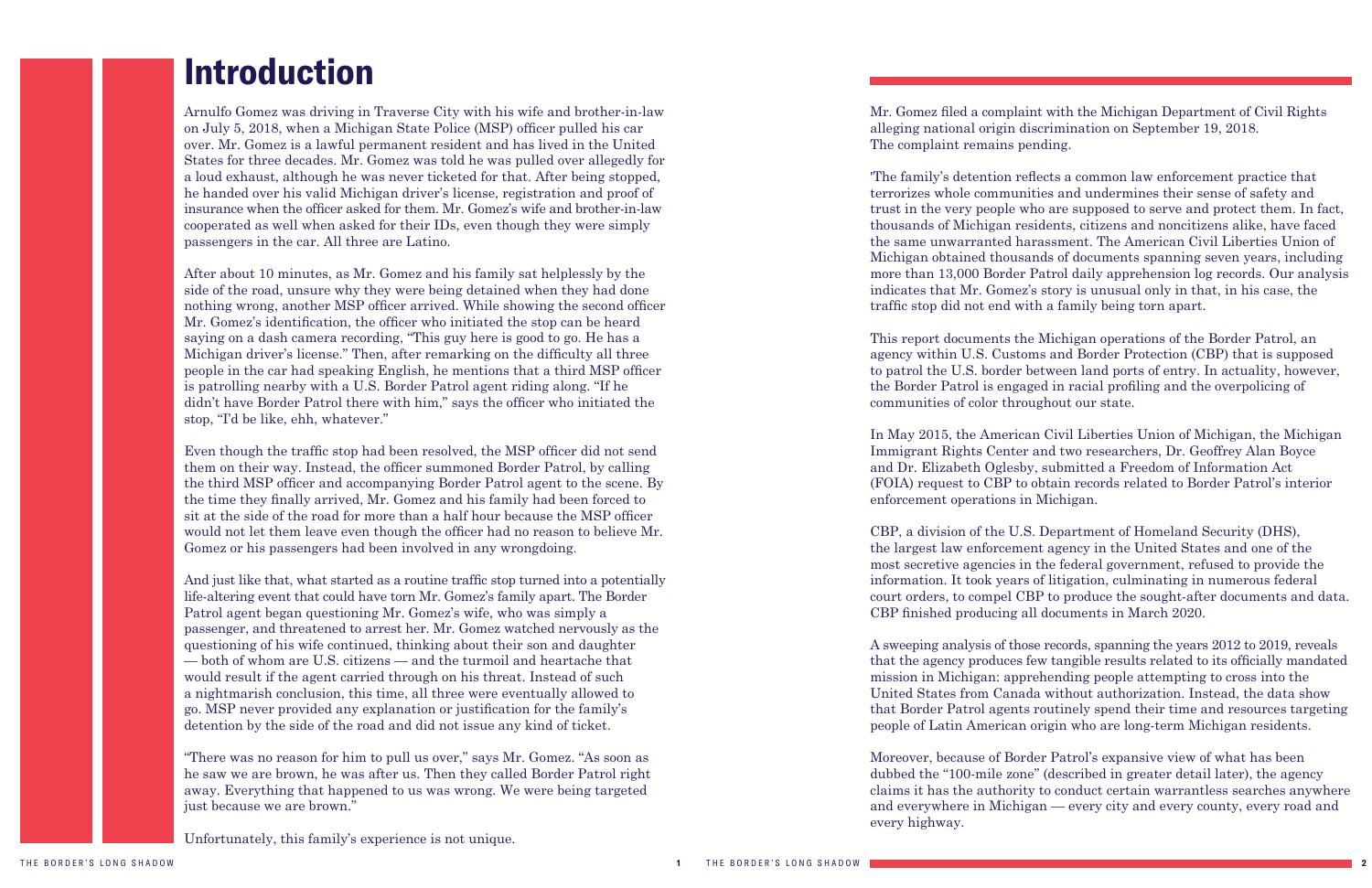## <span id="page-1-0"></span>**Introduction**

Arnulfo Gomez was driving in Traverse City with his wife and brother-in-law on July 5, 2018, when a Michigan State Police (MSP) officer pulled his car over. Mr. Gomez is a lawful permanent resident and has lived in the United States for three decades. Mr. Gomez was told he was pulled over allegedly for a loud exhaust, although he was never ticketed for that. After being stopped, he handed over his valid Michigan driver's license, registration and proof of insurance when the officer asked for them. Mr. Gomez's wife and brother-in-law cooperated as well when asked for their IDs, even though they were simply passengers in the car. All three are Latino.

After about 10 minutes, as Mr. Gomez and his family sat helplessly by the side of the road, unsure why they were being detained when they had done nothing wrong, another MSP officer arrived. While showing the second officer Mr. Gomez's identification, the officer who initiated the stop can be heard saying on a dash camera recording, "This guy here is good to go. He has a Michigan driver's license." Then, after remarking on the difficulty all three people in the car had speaking English, he mentions that a third MSP officer is patrolling nearby with a U.S. Border Patrol agent riding along. "If he didn't have Border Patrol there with him," says the officer who initiated the stop, "I'd be like, ehh, whatever."

Even though the traffic stop had been resolved, the MSP officer did not send them on their way. Instead, the officer summoned Border Patrol, by calling the third MSP officer and accompanying Border Patrol agent to the scene. By the time they finally arrived, Mr. Gomez and his family had been forced to sit at the side of the road for more than a half hour because the MSP officer would not let them leave even though the officer had no reason to believe Mr. Gomez or his passengers had been involved in any wrongdoing.

And just like that, what started as a routine traffic stop turned into a potentially life-altering event that could have torn Mr. Gomez's family apart. The Border Patrol agent began questioning Mr. Gomez's wife, who was simply a passenger, and threatened to arrest her. Mr. Gomez watched nervously as the questioning of his wife continued, thinking about their son and daughter — both of whom are U.S. citizens — and the turmoil and heartache that would result if the agent carried through on his threat. Instead of such a nightmarish conclusion, this time, all three were eventually allowed to go. MSP never provided any explanation or justification for the family's detention by the side of the road and did not issue any kind of ticket.

"There was no reason for him to pull us over," says Mr. Gomez. "As soon as he saw we are brown, he was after us. Then they called Border Patrol right away. Everything that happened to us was wrong. We were being targeted just because we are brown."

Unfortunately, this family's experience is not unique.

Mr. Gomez filed a complaint with the Michigan Department of Civil Rights alleging national origin discrimination on September 19, 2018. The complaint remains pending.

'The family's detention reflects a common law enforcement practice that terrorizes whole communities and undermines their sense of safety and trust in the very people who are supposed to serve and protect them. In fact, thousands of Michigan residents, citizens and noncitizens alike, have faced the same unwarranted harassment. The American Civil Liberties Union of Michigan obtained thousands of documents spanning seven years, including more than 13,000 Border Patrol daily apprehension log records. Our analysis indicates that Mr. Gomez's story is unusual only in that, in his case, the traffic stop did not end with a family being torn apart.

This report documents the Michigan operations of the Border Patrol, an agency within U.S. Customs and Border Protection (CBP) that is supposed to patrol the U.S. border between land ports of entry. In actuality, however, the Border Patrol is engaged in racial profiling and the overpolicing of communities of color throughout our state.

In May 2015, the American Civil Liberties Union of Michigan, the Michigan Immigrant Rights Center and two researchers, Dr. Geoffrey Alan Boyce and Dr. Elizabeth Oglesby, submitted a Freedom of Information Act (FOIA) request to CBP to obtain records related to Border Patrol's interior enforcement operations in Michigan.

CBP, a division of the U.S. Department of Homeland Security (DHS), the largest law enforcement agency in the United States and one of the most secretive agencies in the federal government, refused to provide the information. It took years of litigation, culminating in numerous federal court orders, to compel CBP to produce the sought-after documents and data. CBP finished producing all documents in March 2020.

A sweeping analysis of those records, spanning the years 2012 to 2019, reveals that the agency produces few tangible results related to its officially mandated mission in Michigan: apprehending people attempting to cross into the United States from Canada without authorization. Instead, the data show that Border Patrol agents routinely spend their time and resources targeting people of Latin American origin who are long-term Michigan residents.

Moreover, because of Border Patrol's expansive view of what has been dubbed the "100-mile zone" (described in greater detail later), the agency claims it has the authority to conduct certain warrantless searches anywhere and everywhere in Michigan — every city and every county, every road and every highway.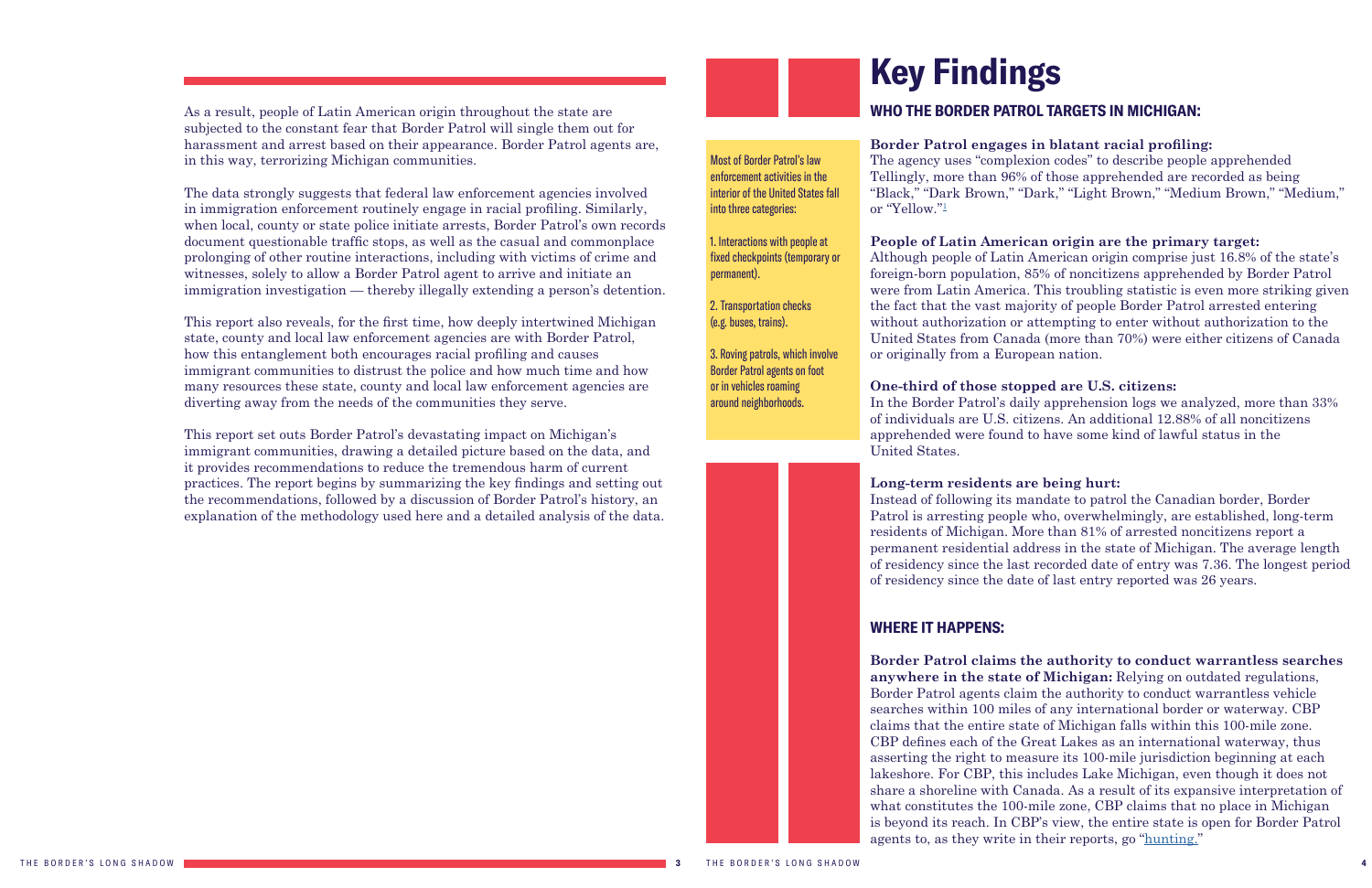<span id="page-2-1"></span>As a result, people of Latin American origin throughout the state are subjected to the constant fear that Border Patrol will single them out for harassment and arrest based on their appearance. Border Patrol agents are, in this way, terrorizing Michigan communities.

The data strongly suggests that federal law enforcement agencies involved in immigration enforcement routinely engage in racial profiling. Similarly, when local, county or state police initiate arrests, Border Patrol's own records document questionable traffic stops, as well as the casual and commonplace prolonging of other routine interactions, including with victims of crime and witnesses, solely to allow a Border Patrol agent to arrive and initiate an immigration investigation — thereby illegally extending a person's detention.

#### **Border Patrol engages in blatant racial profiling:** The agency uses "complexion codes" to describe people apprehended Tellingly, more than 96% of those apprehended are recorded as being "Black," "Dark Brown," "Dark," "Light Brown," "Medium Brown," "Medium," or "Yellow."<sup>[1](#page-25-1)</sup>

This report also reveals, for the first time, how deeply intertwined Michigan state, county and local law enforcement agencies are with Border Patrol, how this entanglement both encourages racial profiling and causes immigrant communities to distrust the police and how much time and how many resources these state, county and local law enforcement agencies are diverting away from the needs of the communities they serve.

This report set outs Border Patrol's devastating impact on Michigan's immigrant communities, drawing a detailed picture based on the data, and it provides recommendations to reduce the tremendous harm of current practices. The report begins by summarizing the key findings and setting out the recommendations, followed by a discussion of Border Patrol's history, an explanation of the methodology used here and a detailed analysis of the data.

## <span id="page-2-0"></span>**Key Findings**

### **WHO THE BORDER PATROL TARGETS IN MICHIGAN:**

#### **People of Latin American origin are the primary target:**

Although people of Latin American origin comprise just 16.8% of the state's foreign-born population, 85% of noncitizens apprehended by Border Patrol were from Latin America. This troubling statistic is even more striking given the fact that the vast majority of people Border Patrol arrested entering without authorization or attempting to enter without authorization to the United States from Canada (more than 70%) were either citizens of Canada or originally from a European nation.

#### **One-third of those stopped are U.S. citizens:**

In the Border Patrol's daily apprehension logs we analyzed, more than 33% of individuals are U.S. citizens. An additional 12.88% of all noncitizens apprehended were found to have some kind of lawful status in the United States.

**Long-term residents are being hurt:**

Instead of following its mandate to patrol the Canadian border, Border Patrol is arresting people who, overwhelmingly, are established, long-term residents of Michigan. More than 81% of arrested noncitizens report a permanent residential address in the state of Michigan. The average length of residency since the last recorded date of entry was 7.36. The longest period of residency since the date of last entry reported was 26 years.

### **WHERE IT HAPPENS:**

**Border Patrol claims the authority to conduct warrantless searches anywhere in the state of Michigan:** Relying on outdated regulations, Border Patrol agents claim the authority to conduct warrantless vehicle searches within 100 miles of any international border or waterway. CBP claims that the entire state of Michigan falls within this 100-mile zone. CBP defines each of the Great Lakes as an international waterway, thus asserting the right to measure its 100-mile jurisdiction beginning at each lakeshore. For CBP, this includes Lake Michigan, even though it does not share a shoreline with Canada. As a result of its expansive interpretation of what constitutes the 100-mile zone, CBP claims that no place in Michigan is beyond its reach. In CBP's view, the entire state is open for Border Patrol agents to, as they write in their reports, go "[hunting."](https://drive.google.com/file/d/1kewIKMRuN4p3bjsU3TWhXQlB-AezfsPu/view?usp=sharing)

Most of Border Patrol's law enforcement activities in the interior of the United States fall into three categories:

1. Interactions with people at fixed checkpoints (temporary or permanent).

2. Transportation checks (e.g. buses, trains).

3. Roving patrols, which involve Border Patrol agents on foot or in vehicles roaming around neighborhoods.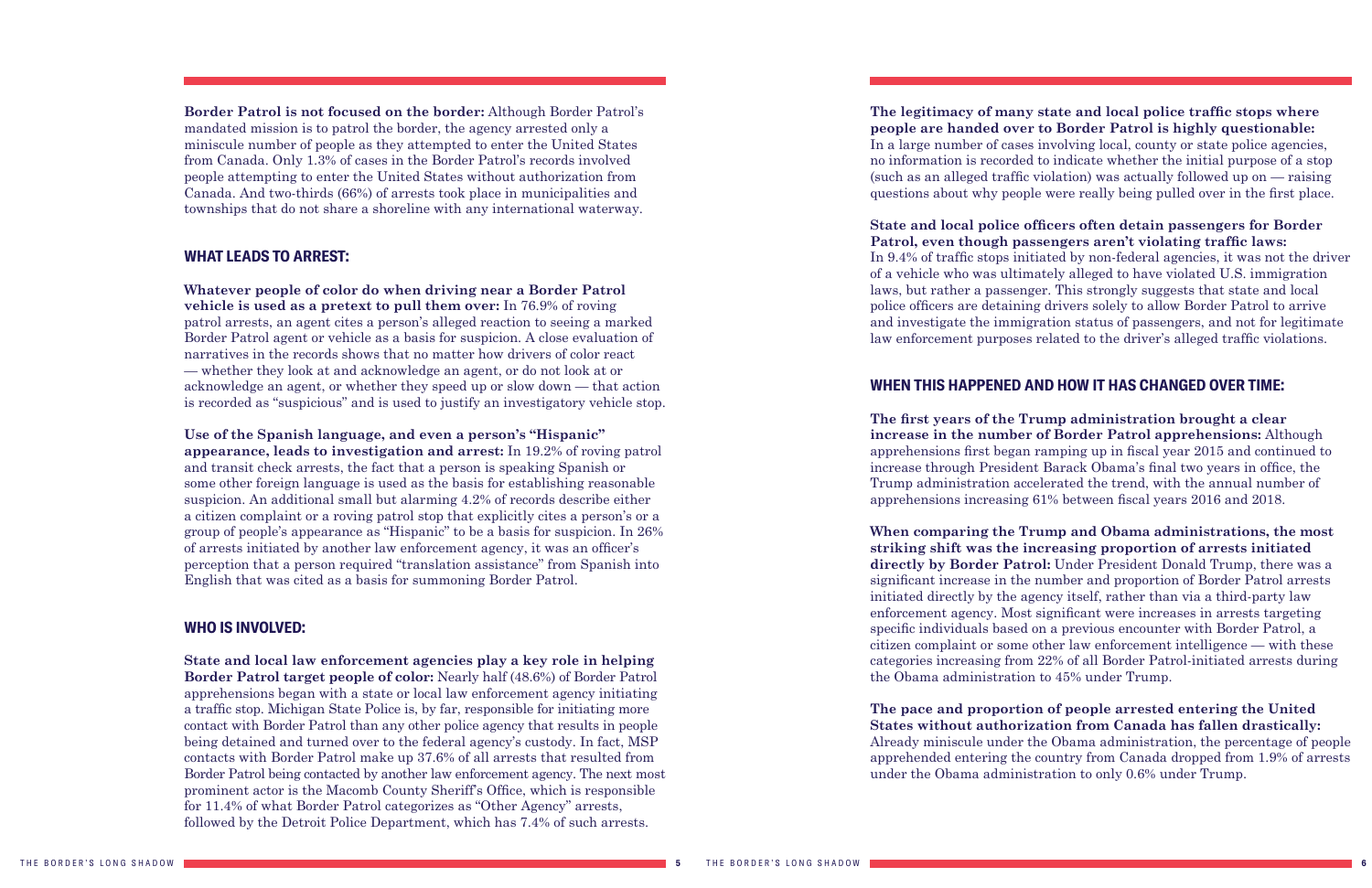**Border Patrol is not focused on the border:** Although Border Patrol's mandated mission is to patrol the border, the agency arrested only a miniscule number of people as they attempted to enter the United States from Canada. Only 1.3% of cases in the Border Patrol's records involved people attempting to enter the United States without authorization from Canada. And two-thirds (66%) of arrests took place in municipalities and townships that do not share a shoreline with any international waterway.

#### **WHAT LEADS TO ARREST:**

**Whatever people of color do when driving near a Border Patrol vehicle is used as a pretext to pull them over:** In 76.9% of roving patrol arrests, an agent cites a person's alleged reaction to seeing a marked Border Patrol agent or vehicle as a basis for suspicion. A close evaluation of narratives in the records shows that no matter how drivers of color react — whether they look at and acknowledge an agent, or do not look at or acknowledge an agent, or whether they speed up or slow down — that action is recorded as "suspicious" and is used to justify an investigatory vehicle stop.

**Use of the Spanish language, and even a person's "Hispanic" appearance, leads to investigation and arrest:** In 19.2% of roving patrol and transit check arrests, the fact that a person is speaking Spanish or some other foreign language is used as the basis for establishing reasonable suspicion. An additional small but alarming 4.2% of records describe either a citizen complaint or a roving patrol stop that explicitly cites a person's or a group of people's appearance as "Hispanic" to be a basis for suspicion. In 26% of arrests initiated by another law enforcement agency, it was an officer's perception that a person required "translation assistance" from Spanish into English that was cited as a basis for summoning Border Patrol.

#### **WHO IS INVOLVED:**

**State and local law enforcement agencies play a key role in helping Border Patrol target people of color:** Nearly half (48.6%) of Border Patrol apprehensions began with a state or local law enforcement agency initiating a traffic stop. Michigan State Police is, by far, responsible for initiating more contact with Border Patrol than any other police agency that results in people being detained and turned over to the federal agency's custody. In fact, MSP contacts with Border Patrol make up 37.6% of all arrests that resulted from Border Patrol being contacted by another law enforcement agency. The next most prominent actor is the Macomb County Sheriff's Office, which is responsible for 11.4% of what Border Patrol categorizes as "Other Agency" arrests, followed by the Detroit Police Department, which has 7.4% of such arrests.

**The legitimacy of many state and local police traffic stops where people are handed over to Border Patrol is highly questionable:** In a large number of cases involving local, county or state police agencies, no information is recorded to indicate whether the initial purpose of a stop (such as an alleged traffic violation) was actually followed up on — raising questions about why people were really being pulled over in the first place.

**State and local police officers often detain passengers for Border Patrol, even though passengers aren't violating traffic laws:** In 9.4% of traffic stops initiated by non-federal agencies, it was not the driver of a vehicle who was ultimately alleged to have violated U.S. immigration laws, but rather a passenger. This strongly suggests that state and local police officers are detaining drivers solely to allow Border Patrol to arrive and investigate the immigration status of passengers, and not for legitimate law enforcement purposes related to the driver's alleged traffic violations.

### **WHEN THIS HAPPENED AND HOW IT HAS CHANGED OVER TIME:**

**The first years of the Trump administration brought a clear increase in the number of Border Patrol apprehensions:** Although apprehensions first began ramping up in fiscal year 2015 and continued to increase through President Barack Obama's final two years in office, the Trump administration accelerated the trend, with the annual number of apprehensions increasing 61% between fiscal years 2016 and 2018.

**When comparing the Trump and Obama administrations, the most striking shift was the increasing proportion of arrests initiated directly by Border Patrol:** Under President Donald Trump, there was a significant increase in the number and proportion of Border Patrol arrests initiated directly by the agency itself, rather than via a third-party law enforcement agency. Most significant were increases in arrests targeting specific individuals based on a previous encounter with Border Patrol, a citizen complaint or some other law enforcement intelligence — with these categories increasing from 22% of all Border Patrol-initiated arrests during the Obama administration to 45% under Trump.

**The pace and proportion of people arrested entering the United States without authorization from Canada has fallen drastically:** Already miniscule under the Obama administration, the percentage of people apprehended entering the country from Canada dropped from 1.9% of arrests under the Obama administration to only 0.6% under Trump.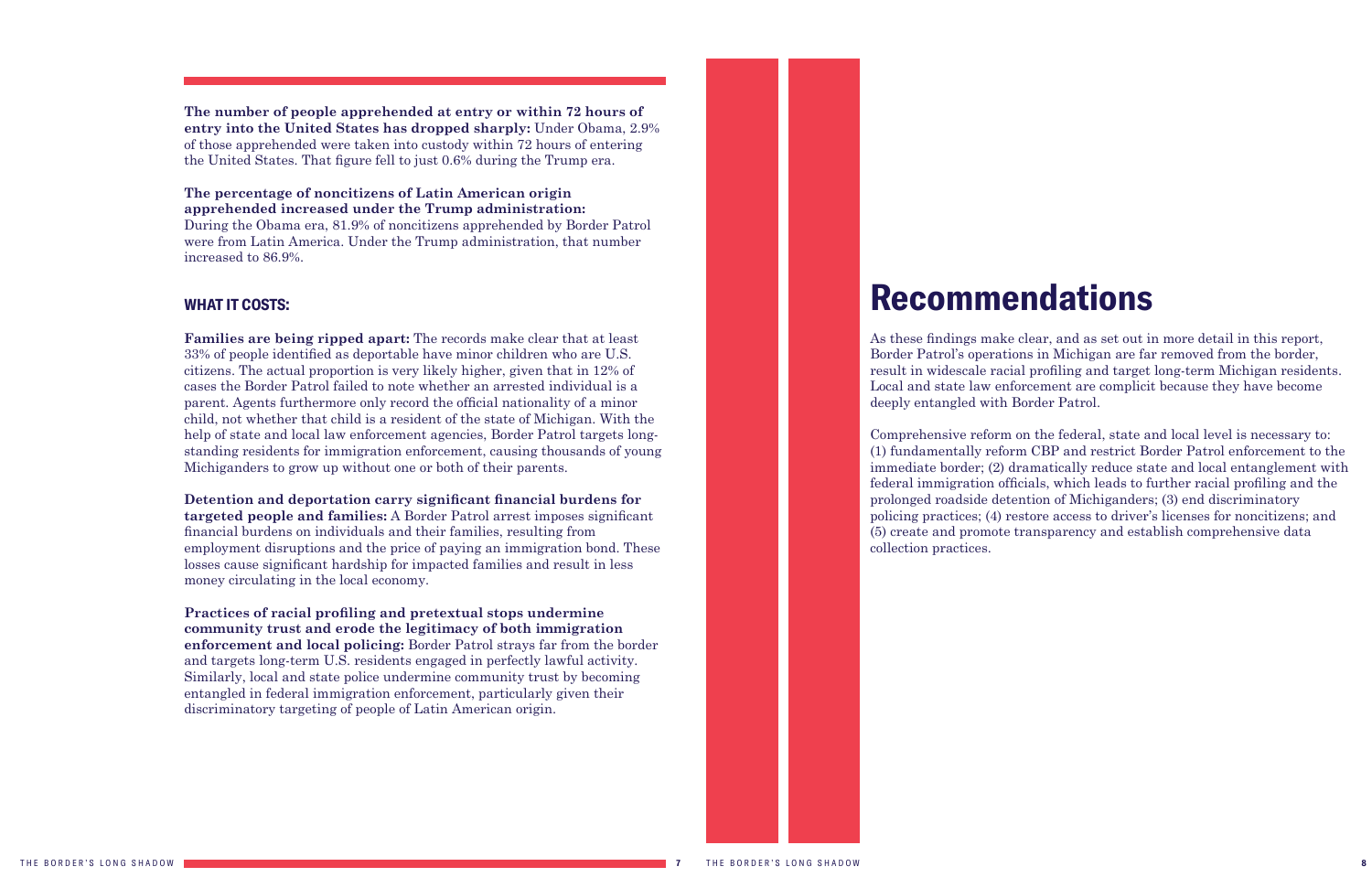**The number of people apprehended at entry or within 72 hours of entry into the United States has dropped sharply:** Under Obama, 2.9% of those apprehended were taken into custody within 72 hours of entering the United States. That figure fell to just 0.6% during the Trump era.

#### **The percentage of noncitizens of Latin American origin apprehended increased under the Trump administration:**

During the Obama era, 81.9% of noncitizens apprehended by Border Patrol were from Latin America. Under the Trump administration, that number increased to 86.9%.

#### **WHAT IT COSTS:**

**Families are being ripped apart:** The records make clear that at least 33% of people identified as deportable have minor children who are U.S. citizens. The actual proportion is very likely higher, given that in 12% of cases the Border Patrol failed to note whether an arrested individual is a parent. Agents furthermore only record the official nationality of a minor child, not whether that child is a resident of the state of Michigan. With the help of state and local law enforcement agencies, Border Patrol targets longstanding residents for immigration enforcement, causing thousands of young Michiganders to grow up without one or both of their parents.

**Detention and deportation carry significant financial burdens for targeted people and families:** A Border Patrol arrest imposes significant financial burdens on individuals and their families, resulting from employment disruptions and the price of paying an immigration bond. These losses cause significant hardship for impacted families and result in less money circulating in the local economy.

**Practices of racial profiling and pretextual stops undermine community trust and erode the legitimacy of both immigration enforcement and local policing:** Border Patrol strays far from the border and targets long-term U.S. residents engaged in perfectly lawful activity. Similarly, local and state police undermine community trust by becoming entangled in federal immigration enforcement, particularly given their discriminatory targeting of people of Latin American origin.

## <span id="page-4-0"></span>**Recommendations**

As these findings make clear, and as set out in more detail in this report, Border Patrol's operations in Michigan are far removed from the border, result in widescale racial profiling and target long-term Michigan residents. Local and state law enforcement are complicit because they have become deeply entangled with Border Patrol.

Comprehensive reform on the federal, state and local level is necessary to: (1) fundamentally reform CBP and restrict Border Patrol enforcement to the immediate border; (2) dramatically reduce state and local entanglement with federal immigration officials, which leads to further racial profiling and the prolonged roadside detention of Michiganders; (3) end discriminatory policing practices; (4) restore access to driver's licenses for noncitizens; and (5) create and promote transparency and establish comprehensive data collection practices.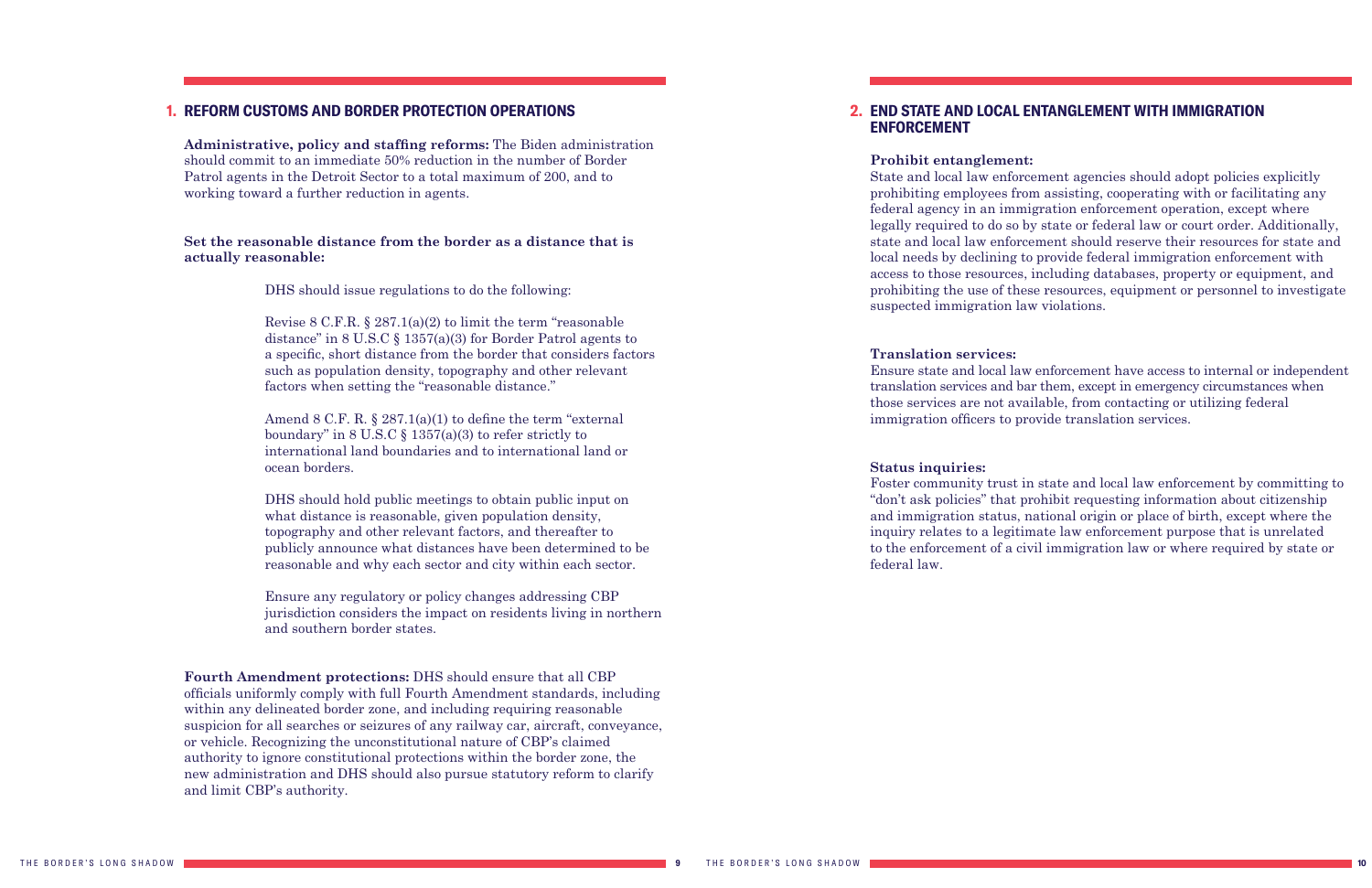**Administrative, policy and staffing reforms:** The Biden administration should commit to an immediate 50% reduction in the number of Border Patrol agents in the Detroit Sector to a total maximum of 200, and to working toward a further reduction in agents.

#### **Set the reasonable distance from the border as a distance that is actually reasonable:**

DHS should issue regulations to do the following:

Revise 8 C.F.R. § 287.1(a)(2) to limit the term "reasonable distance" in 8 U.S.C § 1357(a)(3) for Border Patrol agents to a specific, short distance from the border that considers factors such as population density, topography and other relevant factors when setting the "reasonable distance."

Amend 8 C.F. R. § 287.1(a)(1) to define the term "external boundary" in 8 U.S.C  $\S$  1357(a)(3) to refer strictly to international land boundaries and to international land or ocean borders.

DHS should hold public meetings to obtain public input on what distance is reasonable, given population density, topography and other relevant factors, and thereafter to publicly announce what distances have been determined to be reasonable and why each sector and city within each sector.

Ensure any regulatory or policy changes addressing CBP jurisdiction considers the impact on residents living in northern and southern border states.

**Fourth Amendment protections:** DHS should ensure that all CBP officials uniformly comply with full Fourth Amendment standards, including within any delineated border zone, and including requiring reasonable suspicion for all searches or seizures of any railway car, aircraft, conveyance, or vehicle. Recognizing the unconstitutional nature of CBP's claimed authority to ignore constitutional protections within the border zone, the new administration and DHS should also pursue statutory reform to clarify and limit CBP's authority.

#### **REFORM CUSTOMS AND BORDER PROTECTION OPERATIONS 1. 2.**

### **END STATE AND LOCAL ENTANGLEMENT WITH IMMIGRATION**

### **ENFORCEMENT**

**Prohibit entanglement:** State and local law enforcement agencies should adopt policies explicitly prohibiting employees from assisting, cooperating with or facilitating any federal agency in an immigration enforcement operation, except where legally required to do so by state or federal law or court order. Additionally, state and local law enforcement should reserve their resources for state and local needs by declining to provide federal immigration enforcement with access to those resources, including databases, property or equipment, and prohibiting the use of these resources, equipment or personnel to investigate suspected immigration law violations.

#### **Translation services:**

Ensure state and local law enforcement have access to internal or independent translation services and bar them, except in emergency circumstances when those services are not available, from contacting or utilizing federal immigration officers to provide translation services.

#### **Status inquiries:**

Foster community trust in state and local law enforcement by committing to "don't ask policies" that prohibit requesting information about citizenship and immigration status, national origin or place of birth, except where the inquiry relates to a legitimate law enforcement purpose that is unrelated to the enforcement of a civil immigration law or where required by state or federal law.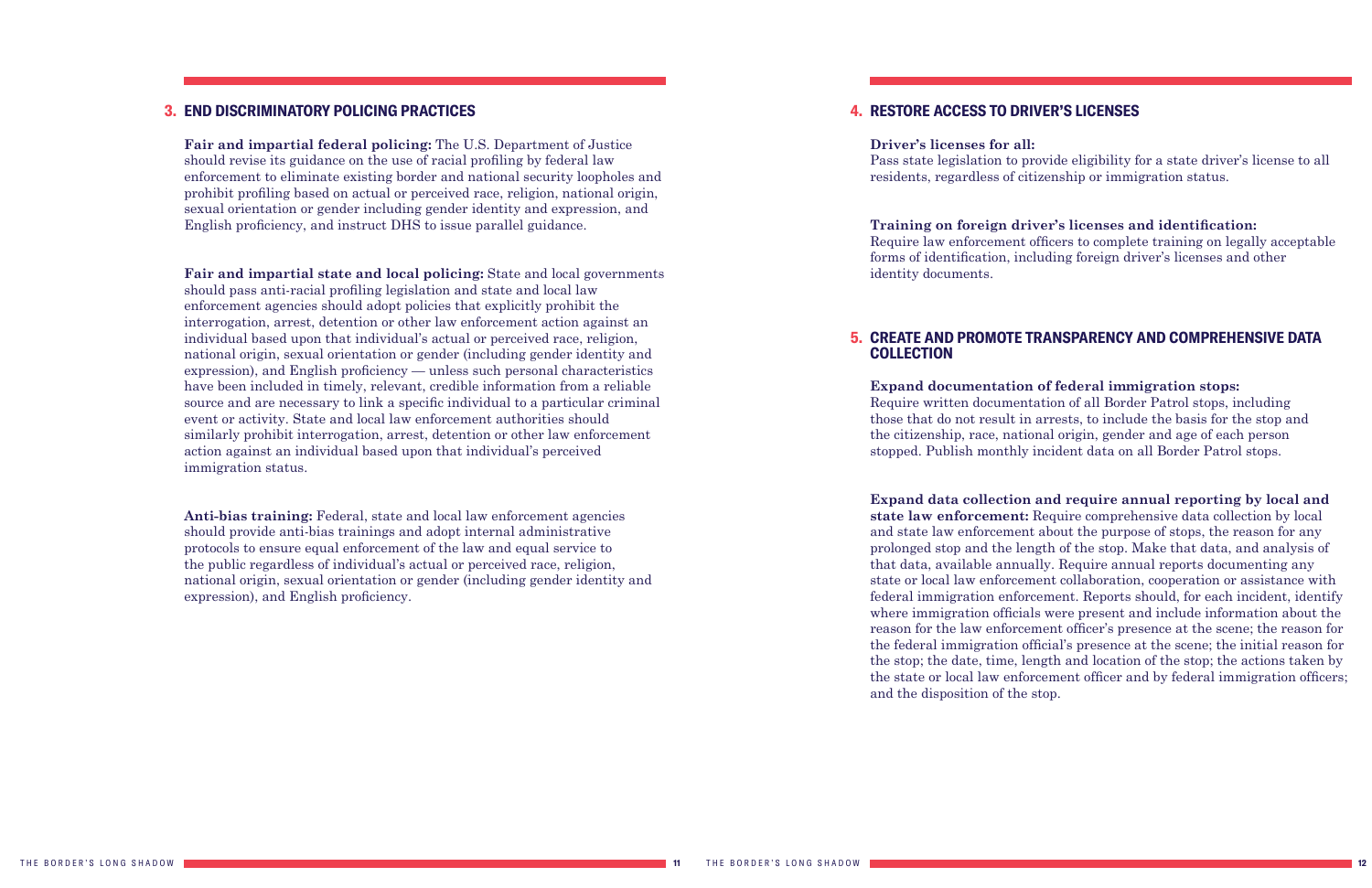**Fair and impartial federal policing:** The U.S. Department of Justice should revise its guidance on the use of racial profiling by federal law enforcement to eliminate existing border and national security loopholes and prohibit profiling based on actual or perceived race, religion, national origin, sexual orientation or gender including gender identity and expression, and English proficiency, and instruct DHS to issue parallel guidance.

**Fair and impartial state and local policing:** State and local governments should pass anti-racial profiling legislation and state and local law enforcement agencies should adopt policies that explicitly prohibit the interrogation, arrest, detention or other law enforcement action against an individual based upon that individual's actual or perceived race, religion, national origin, sexual orientation or gender (including gender identity and expression), and English proficiency — unless such personal characteristics have been included in timely, relevant, credible information from a reliable source and are necessary to link a specific individual to a particular criminal event or activity. State and local law enforcement authorities should similarly prohibit interrogation, arrest, detention or other law enforcement action against an individual based upon that individual's perceived immigration status.

**Anti-bias training:** Federal, state and local law enforcement agencies should provide anti-bias trainings and adopt internal administrative protocols to ensure equal enforcement of the law and equal service to the public regardless of individual's actual or perceived race, religion, national origin, sexual orientation or gender (including gender identity and expression), and English proficiency.

#### **4. RESTORE ACCESS TO DRIVER'S LICENSES**

#### **END DISCRIMINATORY POLICING PRACTICES 3. 4.**

**Driver's licenses for all:** Pass state legislation to provide eligibility for a state driver's license to all residents, regardless of citizenship or immigration status.

#### **Training on foreign driver's licenses and identification:**

Require law enforcement officers to complete training on legally acceptable forms of identification, including foreign driver's licenses and other

identity documents.

### **COLLECTION**

**Expand documentation of federal immigration stops:** Require written documentation of all Border Patrol stops, including those that do not result in arrests, to include the basis for the stop and the citizenship, race, national origin, gender and age of each person stopped. Publish monthly incident data on all Border Patrol stops.

### **CREATE AND PROMOTE TRANSPARENCY AND COMPREHENSIVE DATA 5.**

**Expand data collection and require annual reporting by local and state law enforcement:** Require comprehensive data collection by local and state law enforcement about the purpose of stops, the reason for any prolonged stop and the length of the stop. Make that data, and analysis of that data, available annually. Require annual reports documenting any state or local law enforcement collaboration, cooperation or assistance with federal immigration enforcement. Reports should, for each incident, identify where immigration officials were present and include information about the reason for the law enforcement officer's presence at the scene; the reason for the federal immigration official's presence at the scene; the initial reason for the stop; the date, time, length and location of the stop; the actions taken by the state or local law enforcement officer and by federal immigration officers; and the disposition of the stop.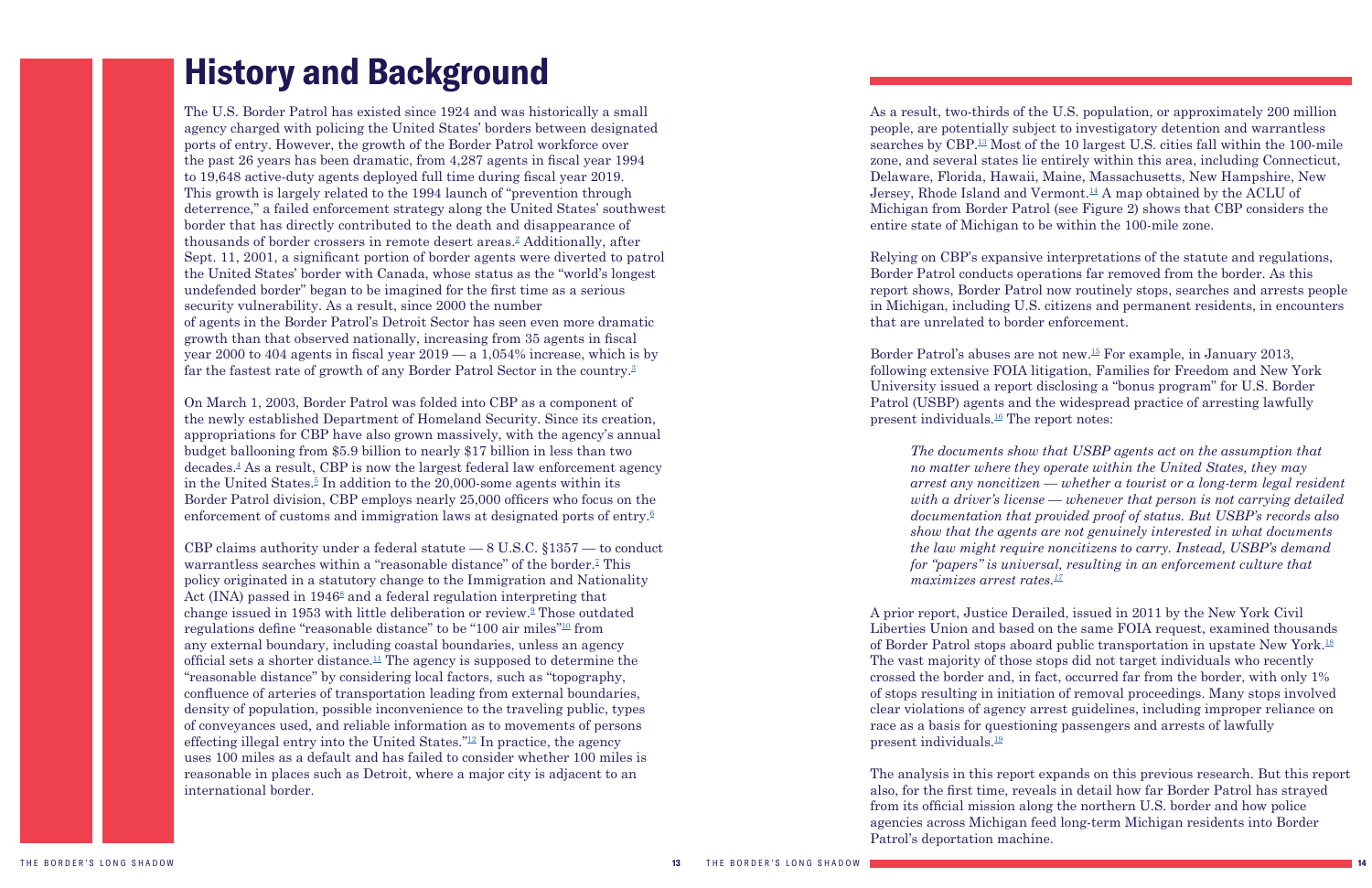The U.S. Border Patrol has existed since 1924 and was historically a small agency charged with policing the United States' borders between designated ports of entry. However, the growth of the Border Patrol workforce over the past 26 years has been dramatic, from 4,287 agents in fiscal year 1994 to 19,648 active-duty agents deployed full time during fiscal year 2019. This growth is largely related to the 1994 launch of "prevention through deterrence," a failed enforcement strategy along the United States' southwest border that has directly contributed to the death and disappearance of thousands of border crossers in remote desert areas.<sup>[2](#page-25-1)</sup> Additionally, after Sept. 11, 2001, a significant portion of border agents were diverted to patrol the United States' border with Canada, whose status as the "world's longest undefended border" began to be imagined for the first time as a serious security vulnerability. As a result, since 2000 the number of agents in the Border Patrol's Detroit Sector has seen even more dramatic growth than that observed nationally, increasing from 35 agents in fiscal year 2000 to 404 agents in fiscal year 2019 — a 1,054% increase, which is by far the fastest rate of growth of any Border Patrol Sector in the country.<sup>[3](#page-25-1)</sup>

## <span id="page-7-1"></span><span id="page-7-0"></span>**History and Background**

On March 1, 2003, Border Patrol was folded into CBP as a component of the newly established Department of Homeland Security. Since its creation, appropriations for CBP have also grown massively, with the agency's annual budget ballooning from \$5.9 billion to nearly \$17 billion in less than two decades.[4](#page-25-1) As a result, CBP is now the largest federal law enforcement agency in the United States.<sup>[5](#page-25-1)</sup> In addition to the 20,000-some agents within its Border Patrol division, CBP employs nearly 25,000 officers who focus on the enforcement of customs and immigration laws at designated ports of entry.<sup>[6](#page-25-1)</sup>

CBP claims authority under a federal statute  $-8$  U.S.C.  $$1357 -$  to conduct warrantless searches within a "reasonable distance" of the border.<sup>[7](#page-25-1)</sup> This policy originated in a statutory change to the Immigration and Nationality Act (INA) passed in 1946<sup>[8](#page-25-1)</sup> and a federal regulation interpreting that change issued in 1953 with little deliberation or review.<sup>9</sup> Those outdated regulations define "reasonable distance" to be "100 air miles"[10](#page-25-1) from any external boundary, including coastal boundaries, unless an agency official sets a shorter distance.<sup>[11](#page-25-1)</sup> The agency is supposed to determine the "reasonable distance" by considering local factors, such as "topography, confluence of arteries of transportation leading from external boundaries, density of population, possible inconvenience to the traveling public, types of conveyances used, and reliable information as to movements of persons effecting illegal entry into the United States.<sup>"[12](#page-26-0)</sup> In practice, the agency uses 100 miles as a default and has failed to consider whether 100 miles is reasonable in places such as Detroit, where a major city is adjacent to an international border.

Border Patrol's abuses are not new.[15](#page-26-0) For example, in January 2013, following extensive FOIA litigation, Families for Freedom and New York University issued a report disclosing a "bonus program" for U.S. Border Patrol (USBP) agents and the widespread practice of arresting lawfully present individuals. $^{16}$  The report notes:

As a result, two-thirds of the U.S. population, or approximately 200 million people, are potentially subject to investigatory detention and warrantless searches by CBP.[13](#page-26-0) Most of the 10 largest U.S. cities fall within the 100-mile zone, and several states lie entirely within this area, including Connecticut, Delaware, Florida, Hawaii, Maine, Massachusetts, New Hampshire, New Jersey, Rhode Island and Vermont.<sup>14</sup> A map obtained by the ACLU of Michigan from Border Patrol (see Figure 2) shows that CBP considers the entire state of Michigan to be within the 100-mile zone.

Relying on CBP's expansive interpretations of the statute and regulations, Border Patrol conducts operations far removed from the border. As this report shows, Border Patrol now routinely stops, searches and arrests people in Michigan, including U.S. citizens and permanent residents, in encounters that are unrelated to border enforcement.

*The documents show that USBP agents act on the assumption that no matter where they operate within the United States, they may arrest any noncitizen — whether a tourist or a long-term legal resident with a driver's license — whenever that person is not carrying detailed documentation that provided proof of status. But USBP's records also show that the agents are not genuinely interested in what documents the law might require noncitizens to carry. Instead, USBP's demand for "papers" is universal, resulting in an enforcement culture that maximizes arrest rates[.17](#page-26-0)*

A prior report, Justice Derailed, issued in 2011 by the New York Civil Liberties Union and based on the same FOIA request, examined thousands of Border Patrol stops aboard public transportation in upstate New York.[18](#page-26-0) The vast majority of those stops did not target individuals who recently crossed the border and, in fact, occurred far from the border, with only 1% of stops resulting in initiation of removal proceedings. Many stops involved clear violations of agency arrest guidelines, including improper reliance on race as a basis for questioning passengers and arrests of lawfully present individuals.[19](#page-26-0)

The analysis in this report expands on this previous research. But this report also, for the first time, reveals in detail how far Border Patrol has strayed from its official mission along the northern U.S. border and how police agencies across Michigan feed long-term Michigan residents into Border Patrol's deportation machine.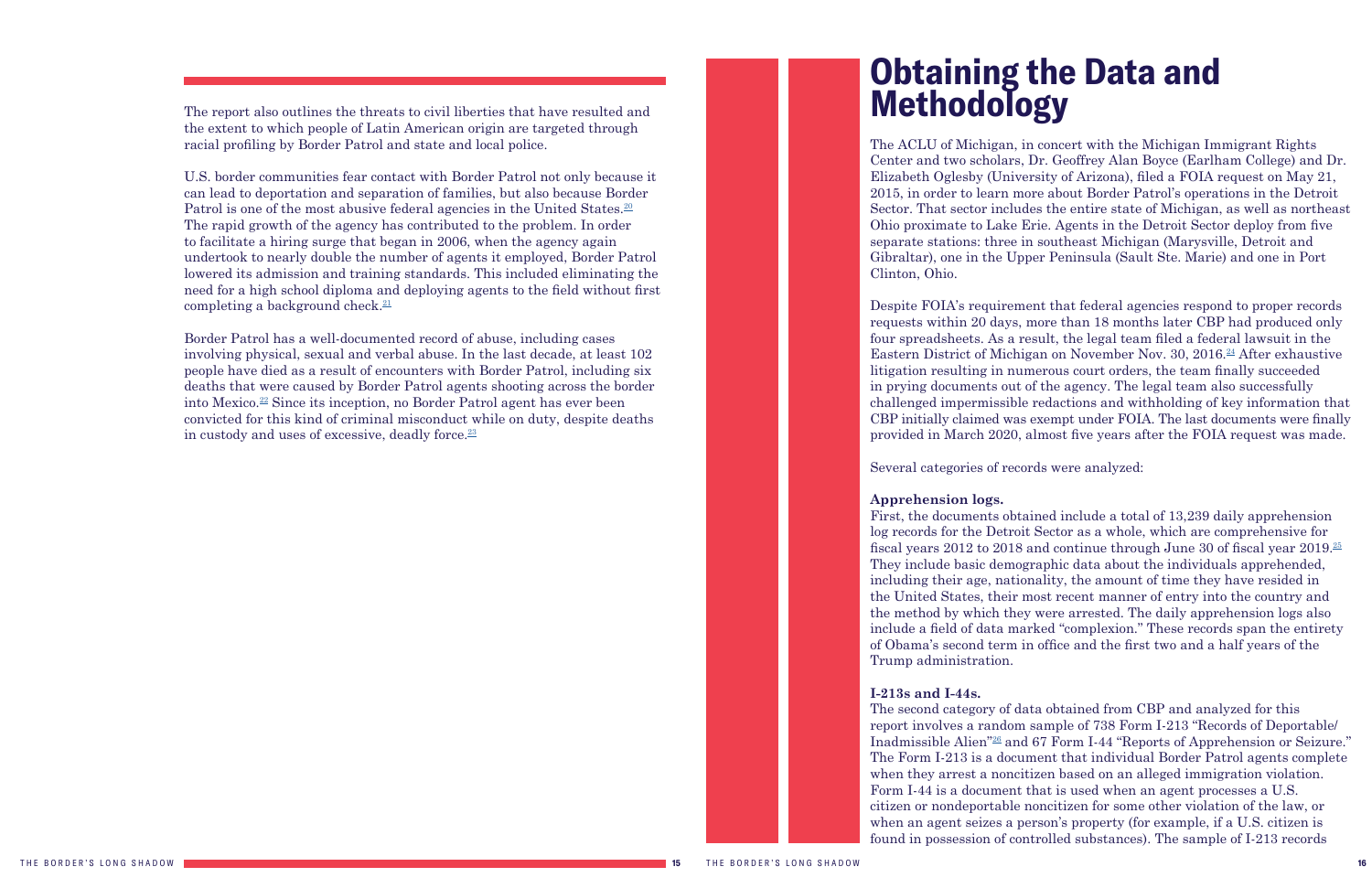U.S. border communities fear contact with Border Patrol not only because it can lead to deportation and separation of families, but also because Border Patrol is one of the most abusive federal agencies in the United States.<sup>[20](#page-26-0)</sup> The rapid growth of the agency has contributed to the problem. In order to facilitate a hiring surge that began in 2006, when the agency again undertook to nearly double the number of agents it employed, Border Patrol lowered its admission and training standards. This included eliminating the need for a high school diploma and deploying agents to the field without first completing a background check.<sup>[21](#page-26-0)</sup>

<span id="page-8-1"></span>The report also outlines the threats to civil liberties that have resulted and the extent to which people of Latin American origin are targeted through racial profiling by Border Patrol and state and local police.

Border Patrol has a well-documented record of abuse, including cases involving physical, sexual and verbal abuse. In the last decade, at least 102 people have died as a result of encounters with Border Patrol, including six deaths that were caused by Border Patrol agents shooting across the border into Mexico.[22](#page-26-0) Since its inception, no Border Patrol agent has ever been convicted for this kind of criminal misconduct while on duty, despite deaths in custody and uses of excessive, deadly force.<sup>23</sup>

## <span id="page-8-0"></span>**Obtaining the Data and Methodology**

The ACLU of Michigan, in concert with the Michigan Immigrant Rights Center and two scholars, Dr. Geoffrey Alan Boyce (Earlham College) and Dr. Elizabeth Oglesby (University of Arizona), filed a FOIA request on May 21, 2015, in order to learn more about Border Patrol's operations in the Detroit Sector. That sector includes the entire state of Michigan, as well as northeast Ohio proximate to Lake Erie. Agents in the Detroit Sector deploy from five separate stations: three in southeast Michigan (Marysville, Detroit and Gibraltar), one in the Upper Peninsula (Sault Ste. Marie) and one in Port Clinton, Ohio.

Despite FOIA's requirement that federal agencies respond to proper records requests within 20 days, more than 18 months later CBP had produced only four spreadsheets. As a result, the legal team filed a federal lawsuit in the Eastern District of Michigan on November Nov. 30, 2016.<sup>24</sup> After exhaustive litigation resulting in numerous court orders, the team finally succeeded in prying documents out of the agency. The legal team also successfully challenged impermissible redactions and withholding of key information that CBP initially claimed was exempt under FOIA. The last documents were finally provided in March 2020, almost five years after the FOIA request was made.

Several categories of records were analyzed:

**Apprehension logs.**

First, the documents obtained include a total of 13,239 daily apprehension log records for the Detroit Sector as a whole, which are comprehensive for fiscal years 2012 to 2018 and continue through June 30 of fiscal year 2019.[25](#page-26-0) They include basic demographic data about the individuals apprehended, including their age, nationality, the amount of time they have resided in the United States, their most recent manner of entry into the country and the method by which they were arrested. The daily apprehension logs also include a field of data marked "complexion." These records span the entirety of Obama's second term in office and the first two and a half years of the Trump administration.

#### **I-213s and I-44s.**

The second category of data obtained from CBP and analyzed for this report involves a random sample of 738 Form I-213 "Records of Deportable/ Inadmissible Alien["26](#page-26-1) and 67 Form I-44 "Reports of Apprehension or Seizure." The Form I-213 is a document that individual Border Patrol agents complete when they arrest a noncitizen based on an alleged immigration violation. Form I-44 is a document that is used when an agent processes a U.S. citizen or nondeportable noncitizen for some other violation of the law, or when an agent seizes a person's property (for example, if a U.S. citizen is found in possession of controlled substances). The sample of I-213 records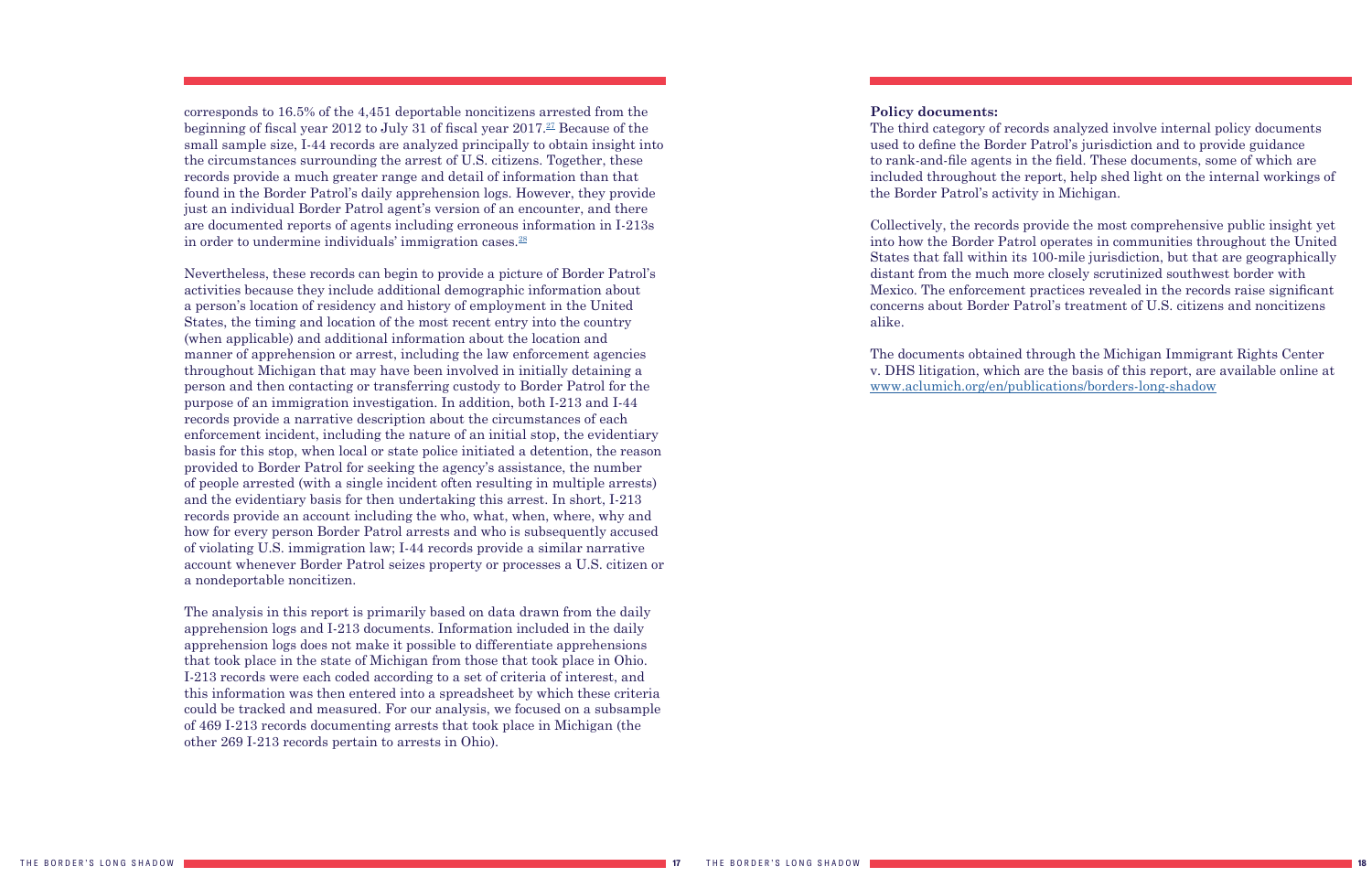<span id="page-9-0"></span>corresponds to 16.5% of the 4,451 deportable noncitizens arrested from the beginning of fiscal year 2012 to July 31 of fiscal year  $2017<sup>27</sup>$  Because of the small sample size, I-44 records are analyzed principally to obtain insight into the circumstances surrounding the arrest of U.S. citizens. Together, these records provide a much greater range and detail of information than that found in the Border Patrol's daily apprehension logs. However, they provide just an individual Border Patrol agent's version of an encounter, and there are documented reports of agents including erroneous information in I-213s in order to undermine individuals' immigration cases.<sup>28</sup>

Nevertheless, these records can begin to provide a picture of Border Patrol's activities because they include additional demographic information about a person's location of residency and history of employment in the United States, the timing and location of the most recent entry into the country (when applicable) and additional information about the location and manner of apprehension or arrest, including the law enforcement agencies throughout Michigan that may have been involved in initially detaining a person and then contacting or transferring custody to Border Patrol for the purpose of an immigration investigation. In addition, both I-213 and I-44 records provide a narrative description about the circumstances of each enforcement incident, including the nature of an initial stop, the evidentiary basis for this stop, when local or state police initiated a detention, the reason provided to Border Patrol for seeking the agency's assistance, the number of people arrested (with a single incident often resulting in multiple arrests) and the evidentiary basis for then undertaking this arrest. In short, I-213 records provide an account including the who, what, when, where, why and how for every person Border Patrol arrests and who is subsequently accused of violating U.S. immigration law; I-44 records provide a similar narrative account whenever Border Patrol seizes property or processes a U.S. citizen or a nondeportable noncitizen.

The analysis in this report is primarily based on data drawn from the daily apprehension logs and I-213 documents. Information included in the daily apprehension logs does not make it possible to differentiate apprehensions that took place in the state of Michigan from those that took place in Ohio. I-213 records were each coded according to a set of criteria of interest, and this information was then entered into a spreadsheet by which these criteria could be tracked and measured. For our analysis, we focused on a subsample of 469 I-213 records documenting arrests that took place in Michigan (the other 269 I-213 records pertain to arrests in Ohio).

### **Policy documents:**

The third category of records analyzed involve internal policy documents used to define the Border Patrol's jurisdiction and to provide guidance to rank-and-file agents in the field. These documents, some of which are included throughout the report, help shed light on the internal workings of the Border Patrol's activity in Michigan.

Collectively, the records provide the most comprehensive public insight yet into how the Border Patrol operates in communities throughout the United States that fall within its 100-mile jurisdiction, but that are geographically distant from the much more closely scrutinized southwest border with Mexico. The enforcement practices revealed in the records raise significant concerns about Border Patrol's treatment of U.S. citizens and noncitizens alike.

The documents obtained through the Michigan Immigrant Rights Center v. DHS litigation, which are the basis of this report, are available online at [www.aclumich.org/en/publications/borders-long-shadow](https://www.aclumich.org/en/publications/borders-long-shadow)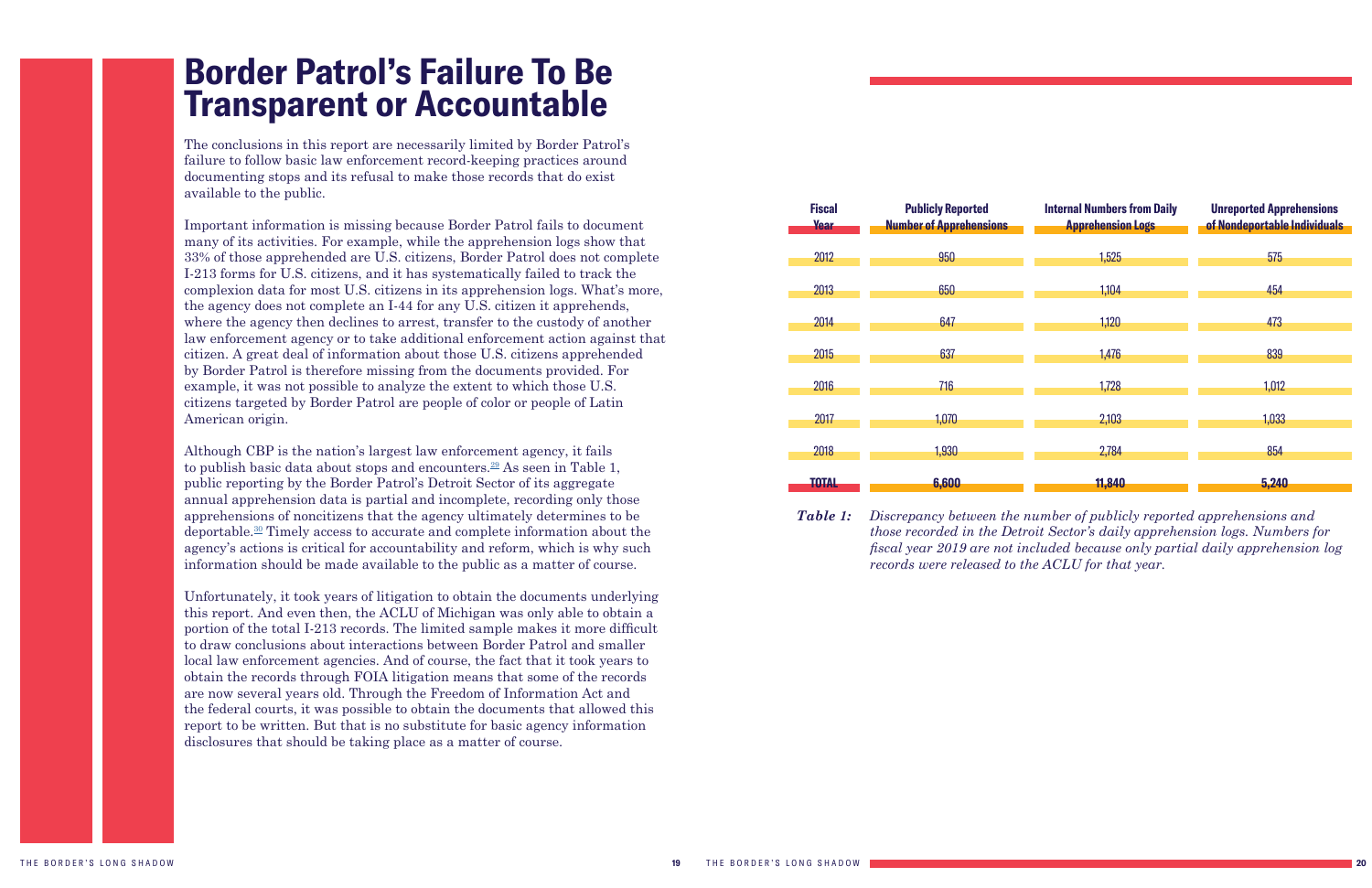### <span id="page-10-0"></span>**Border Patrol's Failure To Be Transparent or Accountable**

The conclusions in this report are necessarily limited by Border Patrol's failure to follow basic law enforcement record-keeping practices around documenting stops and its refusal to make those records that do exist available to the public.

Important information is missing because Border Patrol fails to document many of its activities. For example, while the apprehension logs show that 33% of those apprehended are U.S. citizens, Border Patrol does not complete I-213 forms for U.S. citizens, and it has systematically failed to track the complexion data for most U.S. citizens in its apprehension logs. What's more, the agency does not complete an I-44 for any U.S. citizen it apprehends, where the agency then declines to arrest, transfer to the custody of another law enforcement agency or to take additional enforcement action against that citizen. A great deal of information about those U.S. citizens apprehended by Border Patrol is therefore missing from the documents provided. For example, it was not possible to analyze the extent to which those U.S. citizens targeted by Border Patrol are people of color or people of Latin American origin.

Although CBP is the nation's largest law enforcement agency, it fails to publish basic data about stops and encounters.<sup>[29](#page-26-1)</sup> As seen in Table 1, public reporting by the Border Patrol's Detroit Sector of its aggregate annual apprehension data is partial and incomplete, recording only those apprehensions of noncitizens that the agency ultimately determines to be deportable.[30](#page-26-1) Timely access to accurate and complete information about the agency's actions is critical for accountability and reform, which is why such information should be made available to the public as a matter of course.

Unfortunately, it took years of litigation to obtain the documents underlying this report. And even then, the ACLU of Michigan was only able to obtain a portion of the total I-213 records. The limited sample makes it more difficult to draw conclusions about interactions between Border Patrol and smaller local law enforcement agencies. And of course, the fact that it took years to obtain the records through FOIA litigation means that some of the records are now several years old. Through the Freedom of Information Act and the federal courts, it was possible to obtain the documents that allowed this report to be written. But that is no substitute for basic agency information disclosures that should be taking place as a matter of course.



| <b>Fiscal</b><br><b>Year</b> | <b>Publicly Reported</b><br><b>Number of Apprehensions</b> | <b>Internal Numbers from Daily</b><br><b>Apprehension Logs</b> | <b>Unreported Apprehensions</b><br>of Nondeportable Individuals |
|------------------------------|------------------------------------------------------------|----------------------------------------------------------------|-----------------------------------------------------------------|
| 2012                         | 950                                                        | 1,525                                                          | 575                                                             |
| 2013                         | 650                                                        | 1,104                                                          | 454                                                             |
| 2014                         | 647                                                        | 1,120                                                          | 473                                                             |
| 2015                         | 637                                                        | 1,476                                                          | 839                                                             |
| 2016                         | 716                                                        | 1,728                                                          | 1,012                                                           |
| 2017                         | 1,070                                                      | 2,103                                                          | 1,033                                                           |
| 2018                         | 1,930                                                      | 2,784                                                          | 854                                                             |
| TOTAL                        | 6,600                                                      | 11,840                                                         | 5,240                                                           |

*Table 1: Discrepancy between the number of publicly reported apprehensions and those recorded in the Detroit Sector's daily apprehension logs. Numbers for fiscal year 2019 are not included because only partial daily apprehension log records were released to the ACLU for that year.*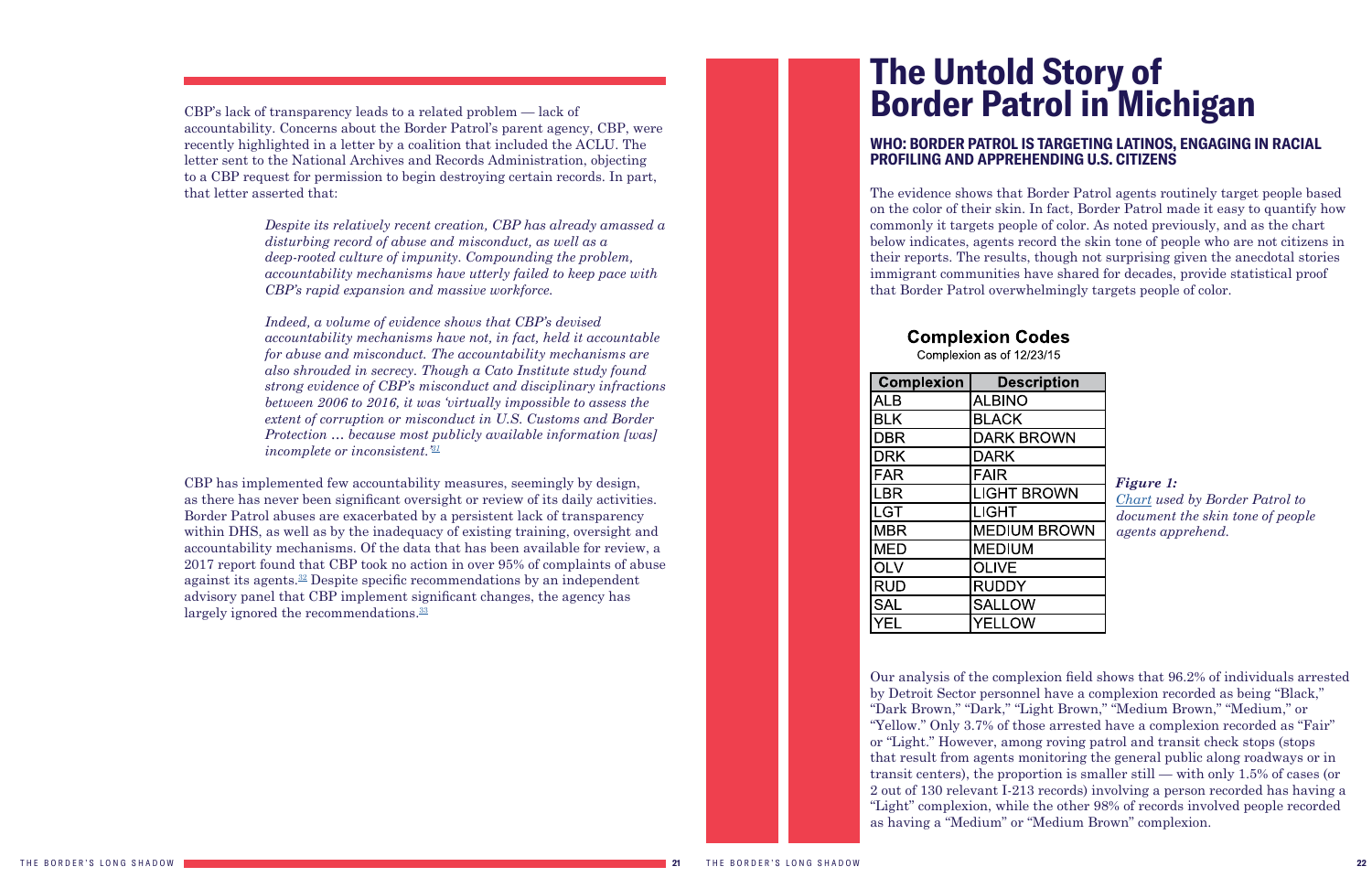<span id="page-11-1"></span>CBP's lack of transparency leads to a related problem — lack of accountability. Concerns about the Border Patrol's parent agency, CBP, were recently highlighted in a letter by a coalition that included the ACLU. The letter sent to the National Archives and Records Administration, objecting to a CBP request for permission to begin destroying certain records. In part, that letter asserted that:

> *Despite its relatively recent creation, CBP has already amassed a disturbing record of abuse and misconduct, as well as a deep-rooted culture of impunity. Compounding the problem, accountability mechanisms have utterly failed to keep pace with CBP's rapid expansion and massive workforce.*

CBP has implemented few accountability measures, seemingly by design, as there has never been significant oversight or review of its daily activities. Border Patrol abuses are exacerbated by a persistent lack of transparency within DHS, as well as by the inadequacy of existing training, oversight and accountability mechanisms. Of the data that has been available for review, a 2017 report found that CBP took no action in over 95% of complaints of abuse against its agents[.32](#page-26-1) Despite specific recommendations by an independent advisory panel that CBP implement significant changes, the agency has largely ignored the recommendations.<sup>33</sup>

 *Indeed, a volume of evidence shows that CBP's devised accountability mechanisms have not, in fact, held it accountable for abuse and misconduct. The accountability mechanisms are also shrouded in secrecy. Though a Cato Institute study found strong evidence of CBP's misconduct and disciplinary infractions between 2006 to 2016, it was 'virtually impossible to assess the extent of corruption or misconduct in U.S. Customs and Border Protection … because most publicly available information [was] incomplete or inconsistent.'[31](#page-26-1)*

## <span id="page-11-0"></span>**The Untold Story of Border Patrol in Michigan**

### **WHO: BORDER PATROL IS TARGETING LATINOS, ENGAGING IN RACIAL PROFILING AND APPREHENDING U.S. CITIZENS**

The evidence shows that Border Patrol agents routinely target people based on the color of their skin. In fact, Border Patrol made it easy to quantify how commonly it targets people of color. As noted previously, and as the chart below indicates, agents record the skin tone of people who are not citizens in their reports. The results, though not surprising given the anecdotal stories immigrant communities have shared for decades, provide statistical proof that Border Patrol overwhelmingly targets people of color.

### **Complexion Codes**

Complexion as of 12/23/15

| <b>Complexion</b> | <b>Description</b>  |
|-------------------|---------------------|
| <b>ALB</b>        | <b>ALBINO</b>       |
| <b>BLK</b>        | <b>BLACK</b>        |
| <b>DBR</b>        | <b>DARK BROWN</b>   |
| <b>DRK</b>        | <b>DARK</b>         |
| <b>FAR</b>        | <b>FAIR</b>         |
| <b>LBR</b>        | <b>LIGHT BROWN</b>  |
| <b>LGT</b>        | <b>LIGHT</b>        |
| <b>MBR</b>        | <b>MEDIUM BROWN</b> |
| <b>MED</b>        | <b>MEDIUM</b>       |
| <b>OLV</b>        | <b>OLIVE</b>        |
| <b>RUD</b>        | <b>RUDDY</b>        |
| <b>SAL</b>        | <b>SALLOW</b>       |
| YEL               | <b>YELLOW</b>       |

Our analysis of the complexion field shows that 96.2% of individuals arrested by Detroit Sector personnel have a complexion recorded as being "Black," "Dark Brown," "Dark," "Light Brown," "Medium Brown," "Medium," or "Yellow." Only 3.7% of those arrested have a complexion recorded as "Fair" or "Light." However, among roving patrol and transit check stops (stops that result from agents monitoring the general public along roadways or in transit centers), the proportion is smaller still — with only 1.5% of cases (or 2 out of 130 relevant I-213 records) involving a person recorded has having a "Light" complexion, while the other 98% of records involved people recorded as having a "Medium" or "Medium Brown" complexion.

*Figure 1: [Chart](https://www.aclumich.org/sites/default/files/b.3_complexion_codes.pdf) used by Border Patrol to document the skin tone of people agents apprehend.*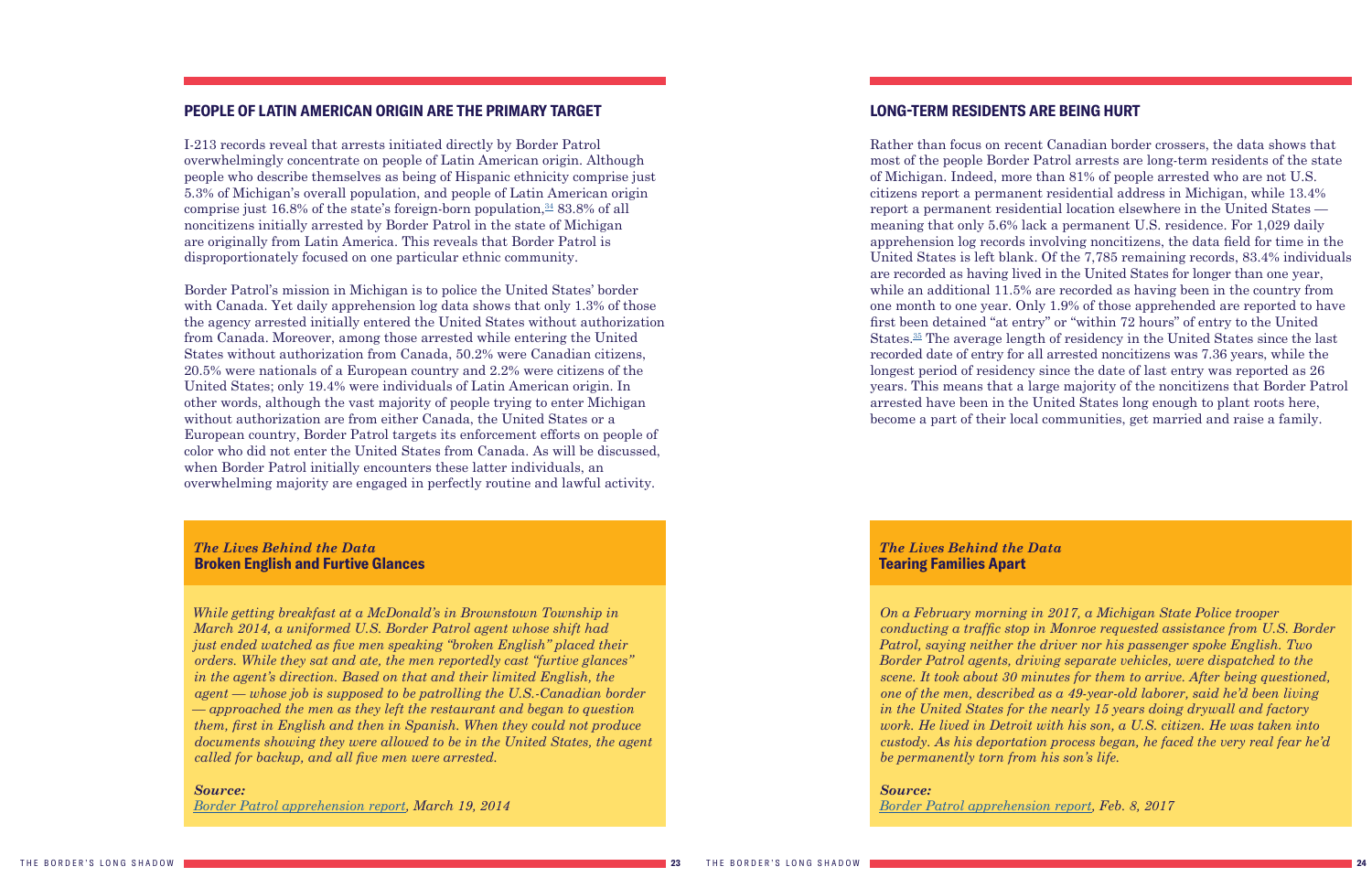#### <span id="page-12-2"></span><span id="page-12-0"></span>**PEOPLE OF LATIN AMERICAN ORIGIN ARE THE PRIMARY TARGET**

I-213 records reveal that arrests initiated directly by Border Patrol overwhelmingly concentrate on people of Latin American origin. Although people who describe themselves as being of Hispanic ethnicity comprise just 5.3% of Michigan's overall population, and people of Latin American origin comprise just 16.8% of the state's foreign-born population, $\frac{34}{3}$  83.8% of all noncitizens initially arrested by Border Patrol in the state of Michigan are originally from Latin America. This reveals that Border Patrol is disproportionately focused on one particular ethnic community.

Border Patrol's mission in Michigan is to police the United States' border with Canada. Yet daily apprehension log data shows that only 1.3% of those the agency arrested initially entered the United States without authorization from Canada. Moreover, among those arrested while entering the United States without authorization from Canada, 50.2% were Canadian citizens, 20.5% were nationals of a European country and 2.2% were citizens of the United States; only 19.4% were individuals of Latin American origin. In other words, although the vast majority of people trying to enter Michigan without authorization are from either Canada, the United States or a European country, Border Patrol targets its enforcement efforts on people of color who did not enter the United States from Canada. As will be discussed, when Border Patrol initially encounters these latter individuals, an overwhelming majority are engaged in perfectly routine and lawful activity.

### <span id="page-12-1"></span>**LONG-TERM RESIDENTS ARE BEING HURT**

Rather than focus on recent Canadian border crossers, the data shows that most of the people Border Patrol arrests are long-term residents of the state of Michigan. Indeed, more than 81% of people arrested who are not U.S. citizens report a permanent residential address in Michigan, while 13.4% report a permanent residential location elsewhere in the United States meaning that only 5.6% lack a permanent U.S. residence. For 1,029 daily apprehension log records involving noncitizens, the data field for time in the United States is left blank. Of the 7,785 remaining records, 83.4% individuals are recorded as having lived in the United States for longer than one year, while an additional 11.5% are recorded as having been in the country from one month to one year. Only 1.9% of those apprehended are reported to have first been detained "at entry" or "within 72 hours" of entry to the United States.[35](#page-26-1) The average length of residency in the United States since the last recorded date of entry for all arrested noncitizens was 7.36 years, while the longest period of residency since the date of last entry was reported as 26 years. This means that a large majority of the noncitizens that Border Patrol arrested have been in the United States long enough to plant roots here, become a part of their local communities, get married and raise a family.

#### *The Lives Behind the Data*  **Broken English and Furtive Glances**

*While getting breakfast at a McDonald's in Brownstown Township in March 2014, a uniformed U.S. Border Patrol agent whose shift had just ended watched as five men speaking "broken English" placed their orders. While they sat and ate, the men reportedly cast "furtive glances" in the agent's direction. Based on that and their limited English, the agent — whose job is supposed to be patrolling the U.S.-Canadian border — approached the men as they left the restaurant and began to question them, first in English and then in Spanish. When they could not produce documents showing they were allowed to be in the United States, the agent called for backup, and all five men were arrested.*

#### *Source:*

*[Border Patrol apprehension report](https://www.aclumich.org/sites/default/files/march_19_2014_broken_english_and_furtive_glances.pdf), March 19, 2014* 

#### *The Lives Behind the Data*  **Tearing Families Apart**

*On a February morning in 2017, a Michigan State Police trooper conducting a traffic stop in Monroe requested assistance from U.S. Border Patrol, saying neither the driver nor his passenger spoke English. Two Border Patrol agents, driving separate vehicles, were dispatched to the scene. It took about 30 minutes for them to arrive. After being questioned, one of the men, described as a 49-year-old laborer, said he'd been living in the United States for the nearly 15 years doing drywall and factory work. He lived in Detroit with his son, a U.S. citizen. He was taken into custody. As his deportation process began, he faced the very real fear he'd be permanently torn from his son's life.*

*Source: [Border Patrol apprehension report](https://www.aclumich.org/sites/default/files/feb_8_2017_tearing_families_apart.pdf), Feb. 8, 2017*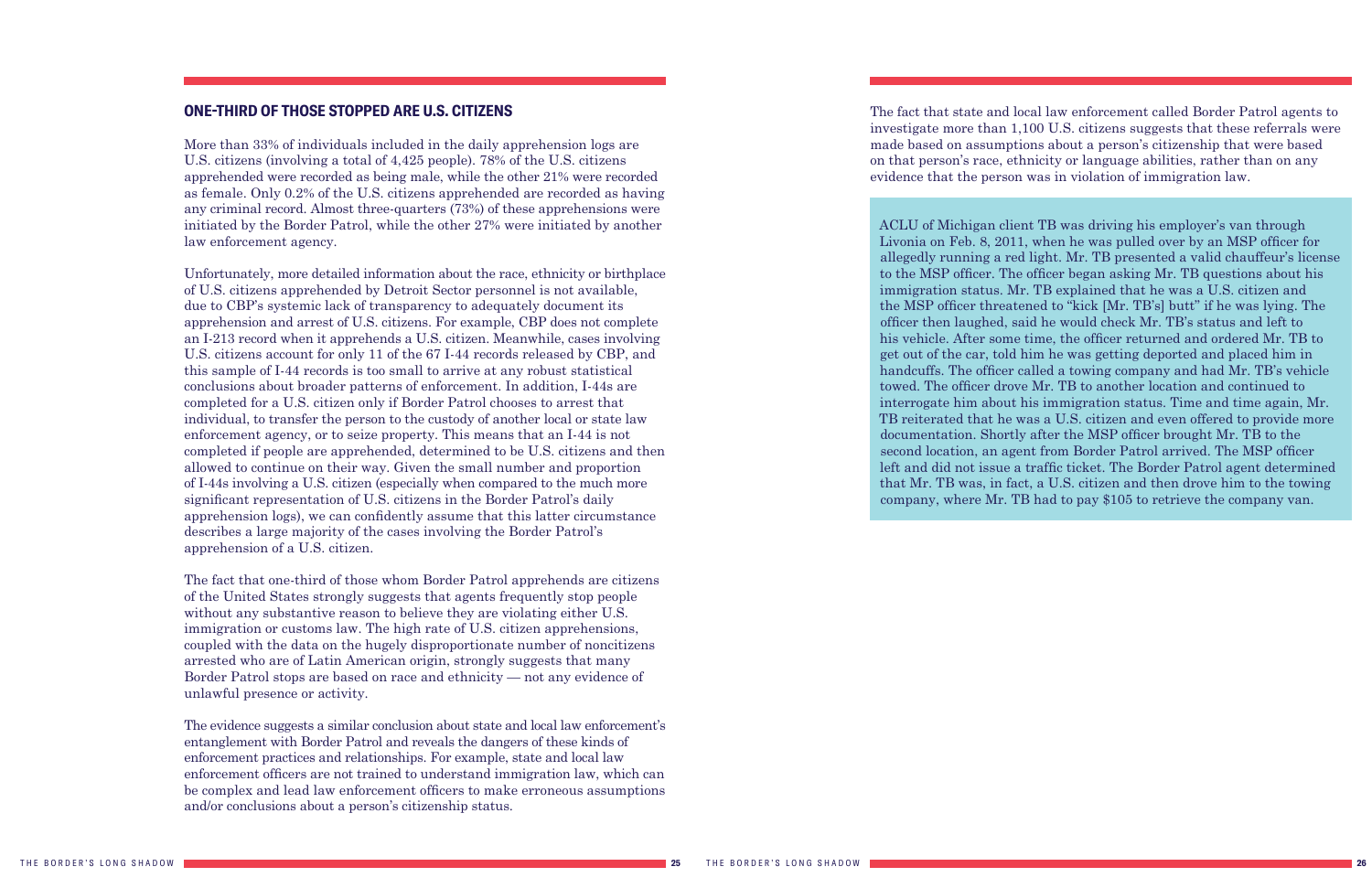#### <span id="page-13-0"></span>**ONE-THIRD OF THOSE STOPPED ARE U.S. CITIZENS**

More than 33% of individuals included in the daily apprehension logs are U.S. citizens (involving a total of 4,425 people). 78% of the U.S. citizens apprehended were recorded as being male, while the other 21% were recorded as female. Only 0.2% of the U.S. citizens apprehended are recorded as having any criminal record. Almost three-quarters (73%) of these apprehensions were initiated by the Border Patrol, while the other 27% were initiated by another law enforcement agency.

Unfortunately, more detailed information about the race, ethnicity or birthplace of U.S. citizens apprehended by Detroit Sector personnel is not available, due to CBP's systemic lack of transparency to adequately document its apprehension and arrest of U.S. citizens. For example, CBP does not complete an I-213 record when it apprehends a U.S. citizen. Meanwhile, cases involving U.S. citizens account for only 11 of the 67 I-44 records released by CBP, and this sample of I-44 records is too small to arrive at any robust statistical conclusions about broader patterns of enforcement. In addition, I-44s are completed for a U.S. citizen only if Border Patrol chooses to arrest that individual, to transfer the person to the custody of another local or state law enforcement agency, or to seize property. This means that an I-44 is not completed if people are apprehended, determined to be U.S. citizens and then allowed to continue on their way. Given the small number and proportion of I-44s involving a U.S. citizen (especially when compared to the much more significant representation of U.S. citizens in the Border Patrol's daily apprehension logs), we can confidently assume that this latter circumstance describes a large majority of the cases involving the Border Patrol's apprehension of a U.S. citizen.

The fact that one-third of those whom Border Patrol apprehends are citizens of the United States strongly suggests that agents frequently stop people without any substantive reason to believe they are violating either U.S. immigration or customs law. The high rate of U.S. citizen apprehensions, coupled with the data on the hugely disproportionate number of noncitizens arrested who are of Latin American origin, strongly suggests that many Border Patrol stops are based on race and ethnicity — not any evidence of unlawful presence or activity.

The evidence suggests a similar conclusion about state and local law enforcement's entanglement with Border Patrol and reveals the dangers of these kinds of enforcement practices and relationships. For example, state and local law enforcement officers are not trained to understand immigration law, which can be complex and lead law enforcement officers to make erroneous assumptions and/or conclusions about a person's citizenship status.

ACLU of Michigan client TB was driving his employer's van through Livonia on Feb. 8, 2011, when he was pulled over by an MSP officer for allegedly running a red light. Mr. TB presented a valid chauffeur's license to the MSP officer. The officer began asking Mr. TB questions about his immigration status. Mr. TB explained that he was a U.S. citizen and the MSP officer threatened to "kick [Mr. TB's] butt" if he was lying. The officer then laughed, said he would check Mr. TB's status and left to his vehicle. After some time, the officer returned and ordered Mr. TB to get out of the car, told him he was getting deported and placed him in handcuffs. The officer called a towing company and had Mr. TB's vehicle towed. The officer drove Mr. TB to another location and continued to interrogate him about his immigration status. Time and time again, Mr. TB reiterated that he was a U.S. citizen and even offered to provide more documentation. Shortly after the MSP officer brought Mr. TB to the second location, an agent from Border Patrol arrived. The MSP officer left and did not issue a traffic ticket. The Border Patrol agent determined that Mr. TB was, in fact, a U.S. citizen and then drove him to the towing company, where Mr. TB had to pay \$105 to retrieve the company van.

The fact that state and local law enforcement called Border Patrol agents to investigate more than 1,100 U.S. citizens suggests that these referrals were made based on assumptions about a person's citizenship that were based on that person's race, ethnicity or language abilities, rather than on any evidence that the person was in violation of immigration law.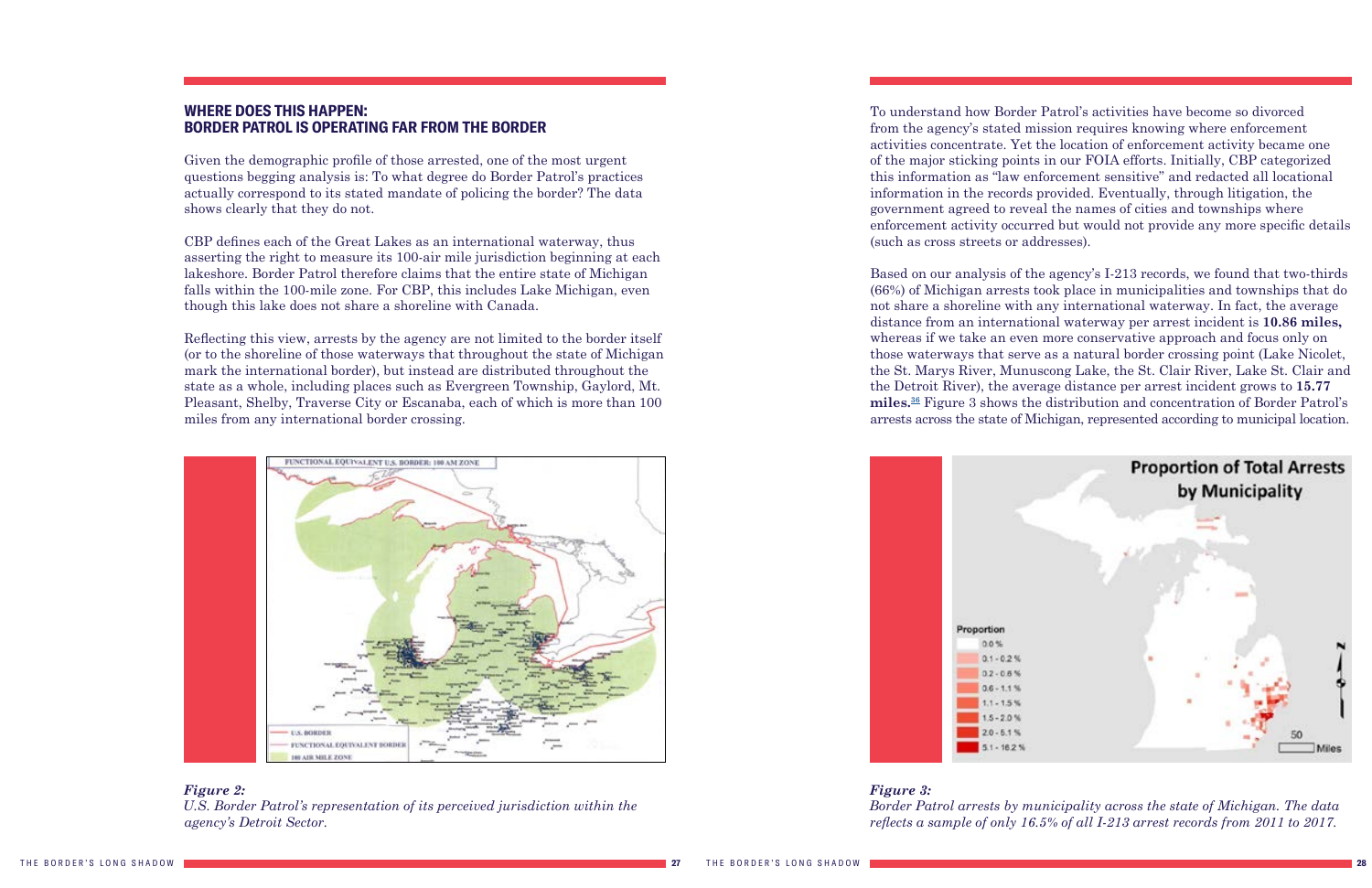#### <span id="page-14-1"></span><span id="page-14-0"></span>**WHERE DOES THIS HAPPEN: BORDER PATROL IS OPERATING FAR FROM THE BORDER**

Given the demographic profile of those arrested, one of the most urgent questions begging analysis is: To what degree do Border Patrol's practices actually correspond to its stated mandate of policing the border? The data shows clearly that they do not.

CBP defines each of the Great Lakes as an international waterway, thus asserting the right to measure its 100-air mile jurisdiction beginning at each lakeshore. Border Patrol therefore claims that the entire state of Michigan falls within the 100-mile zone. For CBP, this includes Lake Michigan, even though this lake does not share a shoreline with Canada.

Reflecting this view, arrests by the agency are not limited to the border itself (or to the shoreline of those waterways that throughout the state of Michigan mark the international border), but instead are distributed throughout the state as a whole, including places such as Evergreen Township, Gaylord, Mt. Pleasant, Shelby, Traverse City or Escanaba, each of which is more than 100 miles from any international border crossing.





To understand how Border Patrol's activities have become so divorced from the agency's stated mission requires knowing where enforcement activities concentrate. Yet the location of enforcement activity became one of the major sticking points in our FOIA efforts. Initially, CBP categorized this information as "law enforcement sensitive" and redacted all locational information in the records provided. Eventually, through litigation, the government agreed to reveal the names of cities and townships where enforcement activity occurred but would not provide any more specific details (such as cross streets or addresses).

Based on our analysis of the agency's I-213 records, we found that two-thirds (66%) of Michigan arrests took place in municipalities and townships that do not share a shoreline with any international waterway. In fact, the average distance from an international waterway per arrest incident is **10.86 miles,** whereas if we take an even more conservative approach and focus only on those waterways that serve as a natural border crossing point (Lake Nicolet, the St. Marys River, Munuscong Lake, the St. Clair River, Lake St. Clair and the Detroit River), the average distance per arrest incident grows to **15.77 miles.[36](#page-26-1)** Figure 3 shows the distribution and concentration of Border Patrol's arrests across the state of Michigan, represented according to municipal location.



*Figure 3:*

*Border Patrol arrests by municipality across the state of Michigan. The data reflects a sample of only 16.5% of all I-213 arrest records from 2011 to 2017.*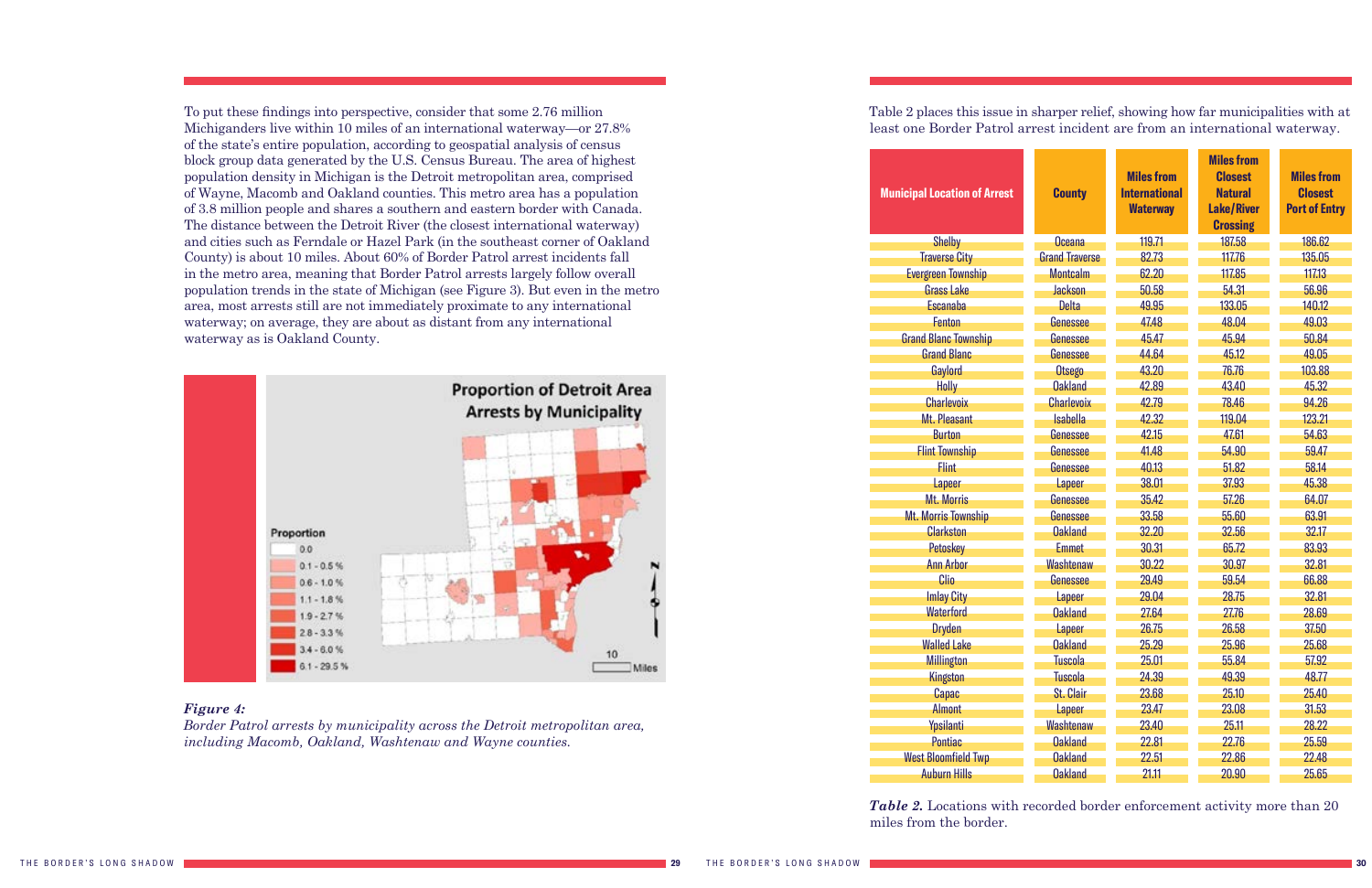#### *Figure 4:*

*Border Patrol arrests by municipality across the Detroit metropolitan area, including Macomb, Oakland, Washtenaw and Wayne counties.*

#### **Municipal Location of Arres**

To put these findings into perspective, consider that some 2.76 million Michiganders live within 10 miles of an international waterway—or 27.8% of the state's entire population, according to geospatial analysis of census block group data generated by the U.S. Census Bureau. The area of highest population density in Michigan is the Detroit metropolitan area, comprised of Wayne, Macomb and Oakland counties. This metro area has a population of 3.8 million people and shares a southern and eastern border with Canada. The distance between the Detroit River (the closest international waterway) and cities such as Ferndale or Hazel Park (in the southeast corner of Oakland County) is about 10 miles. About 60% of Border Patrol arrest incidents fall in the metro area, meaning that Border Patrol arrests largely follow overall population trends in the state of Michigan (see Figure 3). But even in the metro area, most arrests still are not immediately proximate to any international waterway; on average, they are about as distant from any international waterway as is Oakland County.



miles from the border.

Table 2 places this issue in sharper relief, showing how far municipalities with at least one Border Patrol arrest incident are from an international waterway.

| <b>Shelby</b>               |
|-----------------------------|
| <b>Traverse City</b>        |
| <b>Evergreen Township</b>   |
| <b>Grass Lake</b>           |
| Escanaba                    |
| <b>Fenton</b>               |
| <b>Grand Blanc Township</b> |
| <b>Grand Blanc</b>          |
| Gaylord                     |
| Holly                       |
| <b>Charlevoix</b>           |
| Mt. Pleasant                |
| <b>Burton</b>               |
| <b>Flint Township</b>       |
| <b>Flint</b>                |
| Lapeer                      |
| <b>Mt. Morris</b>           |
| <b>Mt. Morris Township</b>  |
| <b>Clarkston</b>            |
| Petoskey                    |
| <b>Ann Arbor</b>            |
| Clio                        |
| <b>Imlay City</b>           |
| Waterford                   |
| Dryden                      |
| <b>Walled Lake</b>          |
| Millington                  |
| Kingston                    |
| Capac                       |
| <b>Almont</b>               |
| Ypsilanti                   |
| Pontiac                     |
| <b>West Bloomfield Twp</b>  |
| Auburn Hills                |
|                             |

| t | <b>County</b>         | <b>Miles from</b><br><b>International</b><br><b>Waterway</b> | <b>Miles from</b><br><b>Closest</b><br><b>Natural</b><br><b>Lake/River</b><br><b>Crossing</b> | <b>Miles from</b><br><b>Closest</b><br><b>Port of Entry</b> |
|---|-----------------------|--------------------------------------------------------------|-----------------------------------------------------------------------------------------------|-------------------------------------------------------------|
|   | <b>Oceana</b>         | 119.71                                                       | 187.58                                                                                        | 186.62                                                      |
|   | <b>Grand Traverse</b> | 82.73                                                        | 117.76                                                                                        | 135.05                                                      |
|   | <b>Montcalm</b>       | 62.20                                                        | 117.85                                                                                        | 117.13                                                      |
|   | <b>Jackson</b>        | 50.58                                                        | 54.31                                                                                         | 56.96                                                       |
|   | <b>Delta</b>          | 49.95                                                        | 133.05                                                                                        | 140.12                                                      |
|   | Genessee              | 47.48                                                        | 48.04                                                                                         | 49.03                                                       |
|   | Genessee              | 45.47                                                        | 45.94                                                                                         | 50.84                                                       |
|   | Genessee              | 44.64                                                        | 45.12                                                                                         | 49.05                                                       |
|   | <b>Otsego</b>         | 43.20                                                        | 76.76                                                                                         | 103.88                                                      |
|   | <b>Oakland</b>        | 42.89                                                        | 43.40                                                                                         | 45.32                                                       |
|   | <b>Charlevoix</b>     | 42.79                                                        | 78.46                                                                                         | 94.26                                                       |
|   | <b>Isabella</b>       | 42.32                                                        | 119.04                                                                                        | 123.21                                                      |
|   | Genessee              | 42.15                                                        | 47.61                                                                                         | 54.63                                                       |
|   | Genessee              | 41.48                                                        | 54.90                                                                                         | 59.47                                                       |
|   | Genessee              | 40.13                                                        | 51.82                                                                                         | 58.14                                                       |
|   | Lapeer                | 38.01                                                        | 37.93                                                                                         | 45.38                                                       |
|   | Genessee              | 35.42                                                        | 57.26                                                                                         | 64.07                                                       |
|   | Genessee              | 33.58                                                        | 55.60                                                                                         | 63.91                                                       |
|   | <b>Oakland</b>        | 32.20                                                        | 32.56                                                                                         | 32.17                                                       |
|   | <b>Emmet</b>          | 30.31                                                        | 65.72                                                                                         | 83.93                                                       |
|   | Washtenaw             | 30.22                                                        | 30.97                                                                                         | 32.81                                                       |
|   | Genessee              | 29.49                                                        | 59.54                                                                                         | 66.88                                                       |
|   | Lapeer                | 29.04                                                        | 28.75                                                                                         | 32.81                                                       |
|   | <b>Oakland</b>        | 27.64                                                        | 27.76                                                                                         | 28.69                                                       |
|   | Lapeer                | 26.75                                                        | 26.58                                                                                         | 37.50                                                       |
|   | <b>Oakland</b>        | 25.29                                                        | 25.96                                                                                         | 25.68                                                       |
|   | <b>Tuscola</b>        | 25.01                                                        | 55.84                                                                                         | 57.92                                                       |
|   | <b>Tuscola</b>        | 24.39                                                        | 49.39                                                                                         | 48.77                                                       |
|   | <b>St. Clair</b>      | 23.68                                                        | 25.10                                                                                         | 25.40                                                       |
|   | Lapeer                | 23.47                                                        | 23.08                                                                                         | 31.53                                                       |
|   | Washtenaw             | 23.40                                                        | 25.11                                                                                         | 28.22                                                       |
|   | <b>Oakland</b>        | 22.81                                                        | 22.76                                                                                         | 25.59                                                       |
|   | <b>Oakland</b>        | 22.51                                                        | 22.86                                                                                         | 22.48                                                       |
|   | <b>Oakland</b>        | 21.11                                                        | 20.90                                                                                         | 25.65                                                       |

*Table 2.* Locations with recorded border enforcement activity more than 20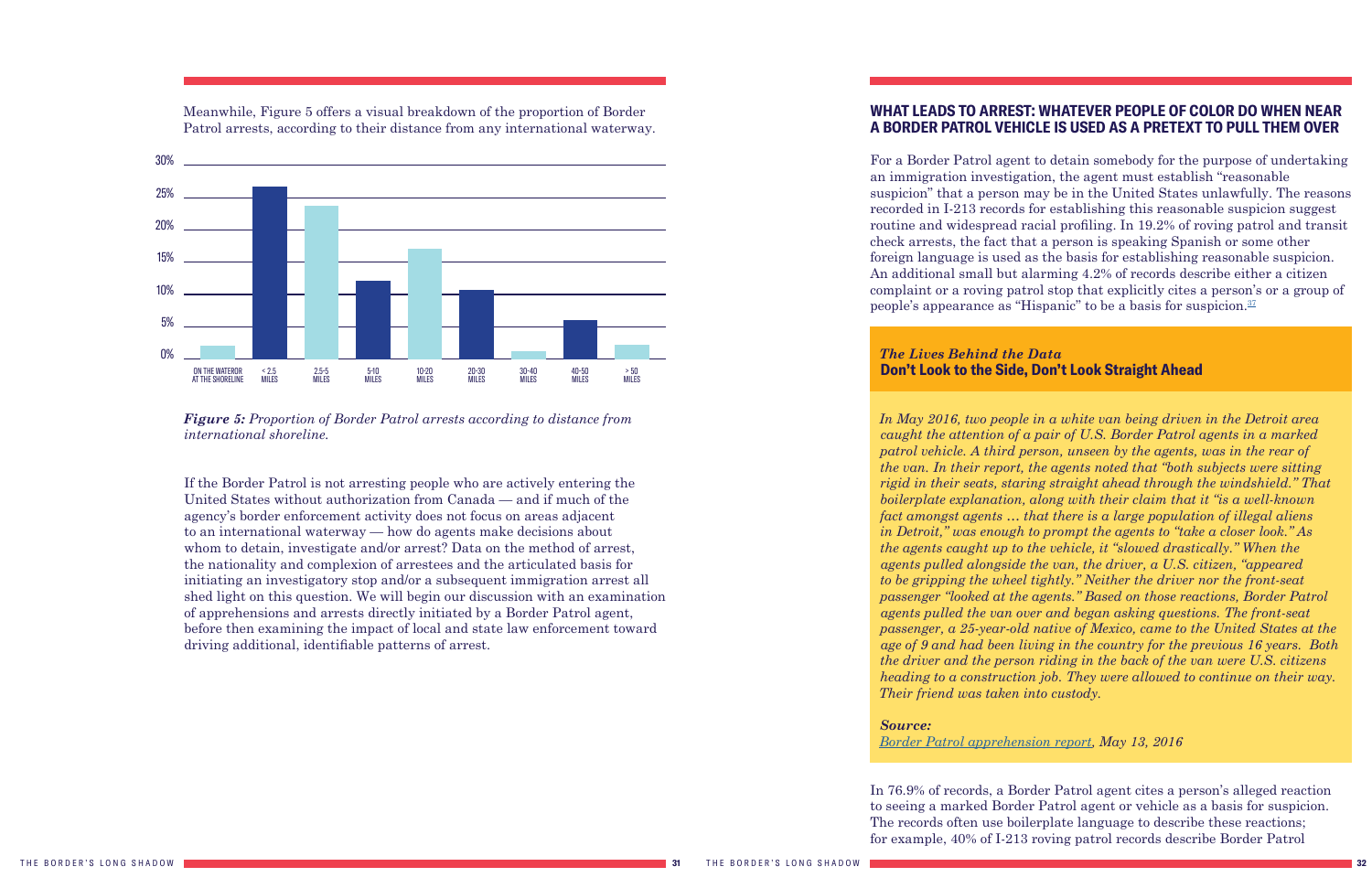Meanwhile, Figure 5 offers a visual breakdown of the proportion of Border Patrol arrests, according to their distance from any international waterway.

<span id="page-16-1"></span>

*Figure 5: Proportion of Border Patrol arrests according to distance from international shoreline.*

For a Border Patrol agent to detain somebody for the purpose of undertaking an immigration investigation, the agent must establish "reasonable suspicion" that a person may be in the United States unlawfully. The reasons recorded in I-213 records for establishing this reasonable suspicion suggest routine and widespread racial profiling. In 19.2% of roving patrol and transit check arrests, the fact that a person is speaking Spanish or some other foreign language is used as the basis for establishing reasonable suspicion. An additional small but alarming 4.2% of records describe either a citizen complaint or a roving patrol stop that explicitly cites a person's or a group of people's appearance as "Hispanic" to be a basis for suspicion. $37$ 

If the Border Patrol is not arresting people who are actively entering the United States without authorization from Canada — and if much of the agency's border enforcement activity does not focus on areas adjacent to an international waterway — how do agents make decisions about whom to detain, investigate and/or arrest? Data on the method of arrest, the nationality and complexion of arrestees and the articulated basis for initiating an investigatory stop and/or a subsequent immigration arrest all shed light on this question. We will begin our discussion with an examination of apprehensions and arrests directly initiated by a Border Patrol agent, before then examining the impact of local and state law enforcement toward driving additional, identifiable patterns of arrest.

### <span id="page-16-0"></span>**WHAT LEADS TO ARREST: WHATEVER PEOPLE OF COLOR DO WHEN NEAR A BORDER PATROL VEHICLE IS USED AS A PRETEXT TO PULL THEM OVER**

#### *The Lives Behind the Data*  **Don't Look to the Side, Don't Look Straight Ahead**

*In May 2016, two people in a white van being driven in the Detroit area caught the attention of a pair of U.S. Border Patrol agents in a marked patrol vehicle. A third person, unseen by the agents, was in the rear of the van. In their report, the agents noted that "both subjects were sitting rigid in their seats, staring straight ahead through the windshield." That boilerplate explanation, along with their claim that it "is a well-known fact amongst agents … that there is a large population of illegal aliens in Detroit," was enough to prompt the agents to "take a closer look." As the agents caught up to the vehicle, it "slowed drastically." When the agents pulled alongside the van, the driver, a U.S. citizen, "appeared to be gripping the wheel tightly." Neither the driver nor the front-seat passenger "looked at the agents." Based on those reactions, Border Patrol agents pulled the van over and began asking questions. The front-seat passenger, a 25-year-old native of Mexico, came to the United States at the age of 9 and had been living in the country for the previous 16 years. Both the driver and the person riding in the back of the van were U.S. citizens heading to a construction job. They were allowed to continue on their way. Their friend was taken into custody.*

### *Source:*

#### *[Border Patrol apprehension report](https://www.aclumich.org/sites/default/files/may_13_2016_dont_look_to_the_side_dont_look_straight_ahead.pdf), May 13, 2016*

In 76.9% of records, a Border Patrol agent cites a person's alleged reaction to seeing a marked Border Patrol agent or vehicle as a basis for suspicion. The records often use boilerplate language to describe these reactions; for example, 40% of I-213 roving patrol records describe Border Patrol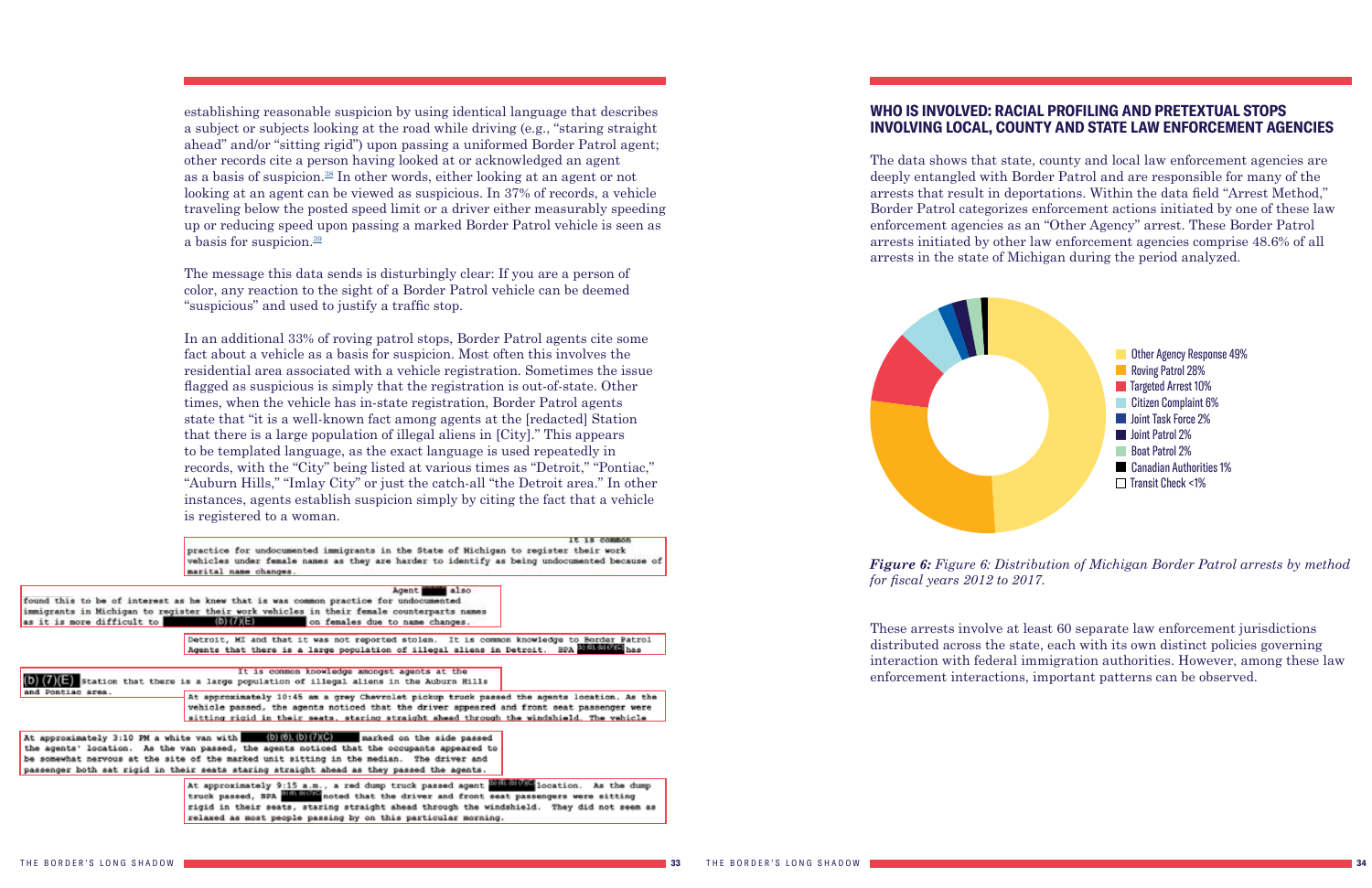#### <span id="page-17-0"></span>**WHO IS INVOLVED: RACIAL PROFILING AND PRETEXTUAL STOPS INVOLVING LOCAL, COUNTY AND STATE LAW ENFORCEMENT AGENCIES**

The data shows that state, county and local law enforcement agencies are deeply entangled with Border Patrol and are responsible for many of the arrests that result in deportations. Within the data field "Arrest Method," Border Patrol categorizes enforcement actions initiated by one of these law enforcement agencies as an "Other Agency" arrest. These Border Patrol arrests initiated by other law enforcement agencies comprise 48.6% of all arrests in the state of Michigan during the period analyzed.

<span id="page-17-1"></span>establishing reasonable suspicion by using identical language that describes a subject or subjects looking at the road while driving (e.g., "staring straight ahead" and/or "sitting rigid") upon passing a uniformed Border Patrol agent; other records cite a person having looked at or acknowledged an agent as a basis of suspicion.<sup>[38](#page-27-0)</sup> In other words, either looking at an agent or not looking at an agent can be viewed as suspicious. In 37% of records, a vehicle traveling below the posted speed limit or a driver either measurably speeding up or reducing speed upon passing a marked Border Patrol vehicle is seen as a basis for suspicion.<sup>39</sup>

> These arrests involve at least 60 separate law enforcement jurisdictions distributed across the state, each with its own distinct policies governing interaction with federal immigration authorities. However, among these law enforcement interactions, important patterns can be observed.



*Figure 6: Figure 6: Distribution of Michigan Border Patrol arrests by method for fiscal years 2012 to 2017.*

The message this data sends is disturbingly clear: If you are a person of color, any reaction to the sight of a Border Patrol vehicle can be deemed "suspicious" and used to justify a traffic stop.

In an additional 33% of roving patrol stops, Border Patrol agents cite some fact about a vehicle as a basis for suspicion. Most often this involves the residential area associated with a vehicle registration. Sometimes the issue flagged as suspicious is simply that the registration is out-of-state. Other times, when the vehicle has in-state registration, Border Patrol agents state that "it is a well-known fact among agents at the [redacted] Station that there is a large population of illegal aliens in [City]." This appears to be templated language, as the exact language is used repeatedly in records, with the "City" being listed at various times as "Detroit," "Pontiac," "Auburn Hills," "Imlay City" or just the catch-all "the Detroit area." In other instances, agents establish suspicion simply by citing the fact that a vehicle is registered to a woman.

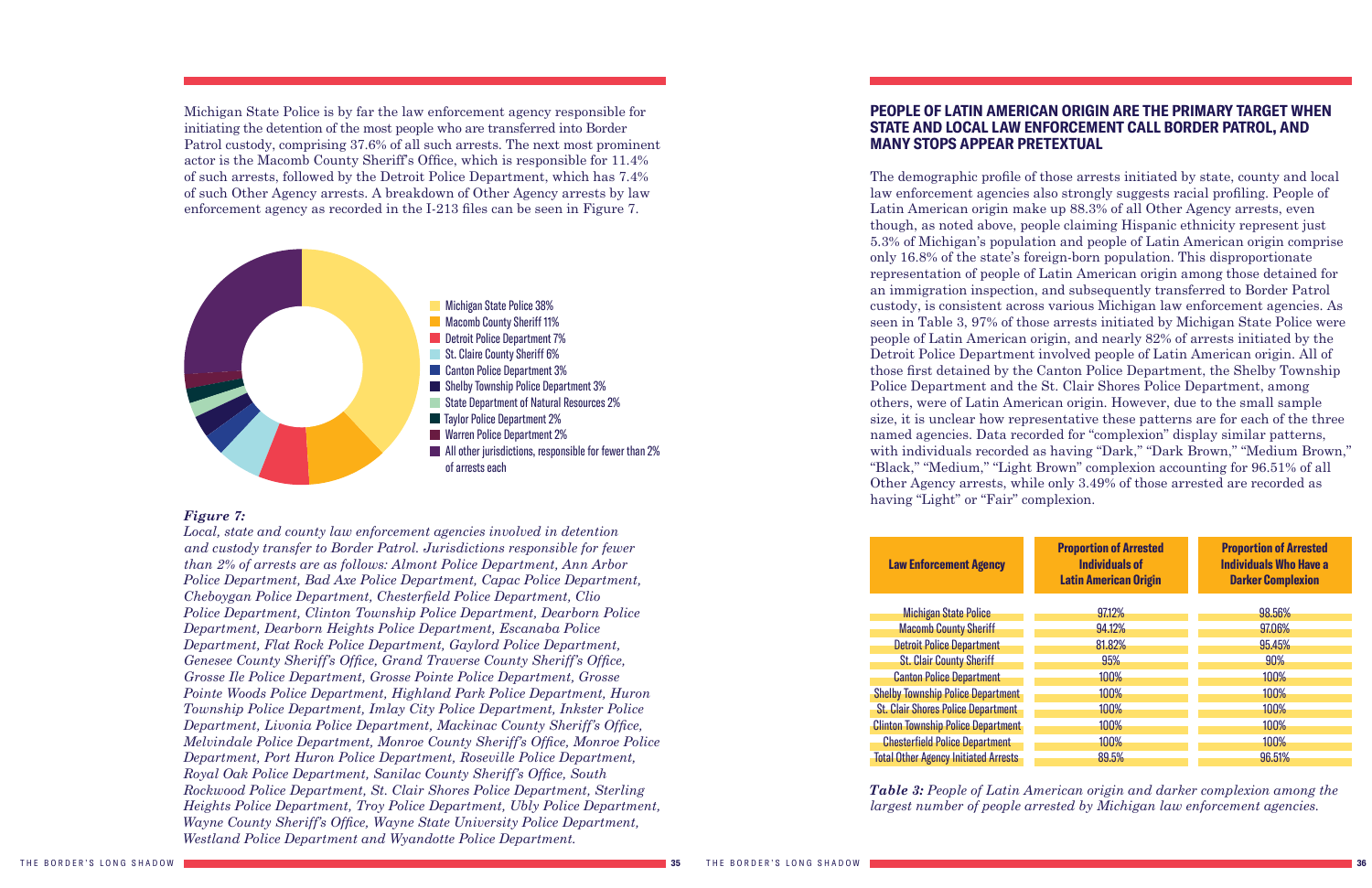Michigan State Police is by far the law enforcement agency responsible for initiating the detention of the most people who are transferred into Border Patrol custody, comprising 37.6% of all such arrests. The next most prominent actor is the Macomb County Sheriff's Office, which is responsible for 11.4% of such arrests, followed by the Detroit Police Department, which has 7.4% of such Other Agency arrests. A breakdown of Other Agency arrests by law enforcement agency as recorded in the I-213 files can be seen in Figure 7.

#### *Figure 7:*

*Local, state and county law enforcement agencies involved in detention and custody transfer to Border Patrol. Jurisdictions responsible for fewer than 2% of arrests are as follows: Almont Police Department, Ann Arbor Police Department, Bad Axe Police Department, Capac Police Department, Cheboygan Police Department, Chesterfield Police Department, Clio Police Department, Clinton Township Police Department, Dearborn Police Department, Dearborn Heights Police Department, Escanaba Police Department, Flat Rock Police Department, Gaylord Police Department, Genesee County Sheriff's Office, Grand Traverse County Sheriff's Office, Grosse Ile Police Department, Grosse Pointe Police Department, Grosse Pointe Woods Police Department, Highland Park Police Department, Huron Township Police Department, Imlay City Police Department, Inkster Police Department, Livonia Police Department, Mackinac County Sheriff's Office, Melvindale Police Department, Monroe County Sheriff's Office, Monroe Police Department, Port Huron Police Department, Roseville Police Department, Royal Oak Police Department, Sanilac County Sheriff's Office, South Rockwood Police Department, St. Clair Shores Police Department, Sterling Heights Police Department, Troy Police Department, Ubly Police Department, Wayne County Sheriff's Office, Wayne State University Police Department, Westland Police Department and Wyandotte Police Department.*

Michigan State Police Macomb County Sheriff Detroit Police Department **St. Clair County Sheriff** Canton Police Department **Shelby Township Police Departm St. Clair Shores Police Department Clinton Township Police Departm Chesterfield Police Department Total Other Agency Initiated Arrest** 



### <span id="page-18-0"></span>**PEOPLE OF LATIN AMERICAN ORIGIN ARE THE PRIMARY TARGET WHEN STATE AND LOCAL LAW ENFORCEMENT CALL BORDER PATROL, AND MANY STOPS APPEAR PRETEXTUAL**

The demographic profile of those arrests initiated by state, county and local law enforcement agencies also strongly suggests racial profiling. People of Latin American origin make up 88.3% of all Other Agency arrests, even though, as noted above, people claiming Hispanic ethnicity represent just 5.3% of Michigan's population and people of Latin American origin comprise only 16.8% of the state's foreign-born population. This disproportionate representation of people of Latin American origin among those detained for an immigration inspection, and subsequently transferred to Border Patrol custody, is consistent across various Michigan law enforcement agencies. As seen in Table 3, 97% of those arrests initiated by Michigan State Police were people of Latin American origin, and nearly 82% of arrests initiated by the Detroit Police Department involved people of Latin American origin. All of those first detained by the Canton Police Department, the Shelby Township Police Department and the St. Clair Shores Police Department, among others, were of Latin American origin. However, due to the small sample size, it is unclear how representative these patterns are for each of the three named agencies. Data recorded for "complexion" display similar patterns, with individuals recorded as having "Dark," "Dark Brown," "Medium Brown," "Black," "Medium," "Light Brown" complexion accounting for 96.51% of all Other Agency arrests, while only 3.49% of those arrested are recorded as having "Light" or "Fair" complexion.

#### **Law Enforcement Agency**

|      | <b>Proportion of Arrested</b><br><b>Individuals of</b><br><b>Latin American Origin</b> | <b>Proportion of Arrested</b><br><b>Individuals Who Have a</b><br><b>Darker Complexion</b> |
|------|----------------------------------------------------------------------------------------|--------------------------------------------------------------------------------------------|
|      | 97.12%                                                                                 | 98.56%                                                                                     |
|      | 94.12%                                                                                 | 97.06%                                                                                     |
|      | 81.82%                                                                                 | 95.45%                                                                                     |
|      | 95%                                                                                    | 90%                                                                                        |
|      | 100%                                                                                   | 100%                                                                                       |
| ent  | 100%                                                                                   | 100%                                                                                       |
| ent: | 100%                                                                                   | 100%                                                                                       |
| ent  | 100%                                                                                   | 100%                                                                                       |
| t    | 100%                                                                                   | 100%                                                                                       |
| sts  | 89.5%                                                                                  | 96.51%                                                                                     |

*Table 3: People of Latin American origin and darker complexion among the largest number of people arrested by Michigan law enforcement agencies.*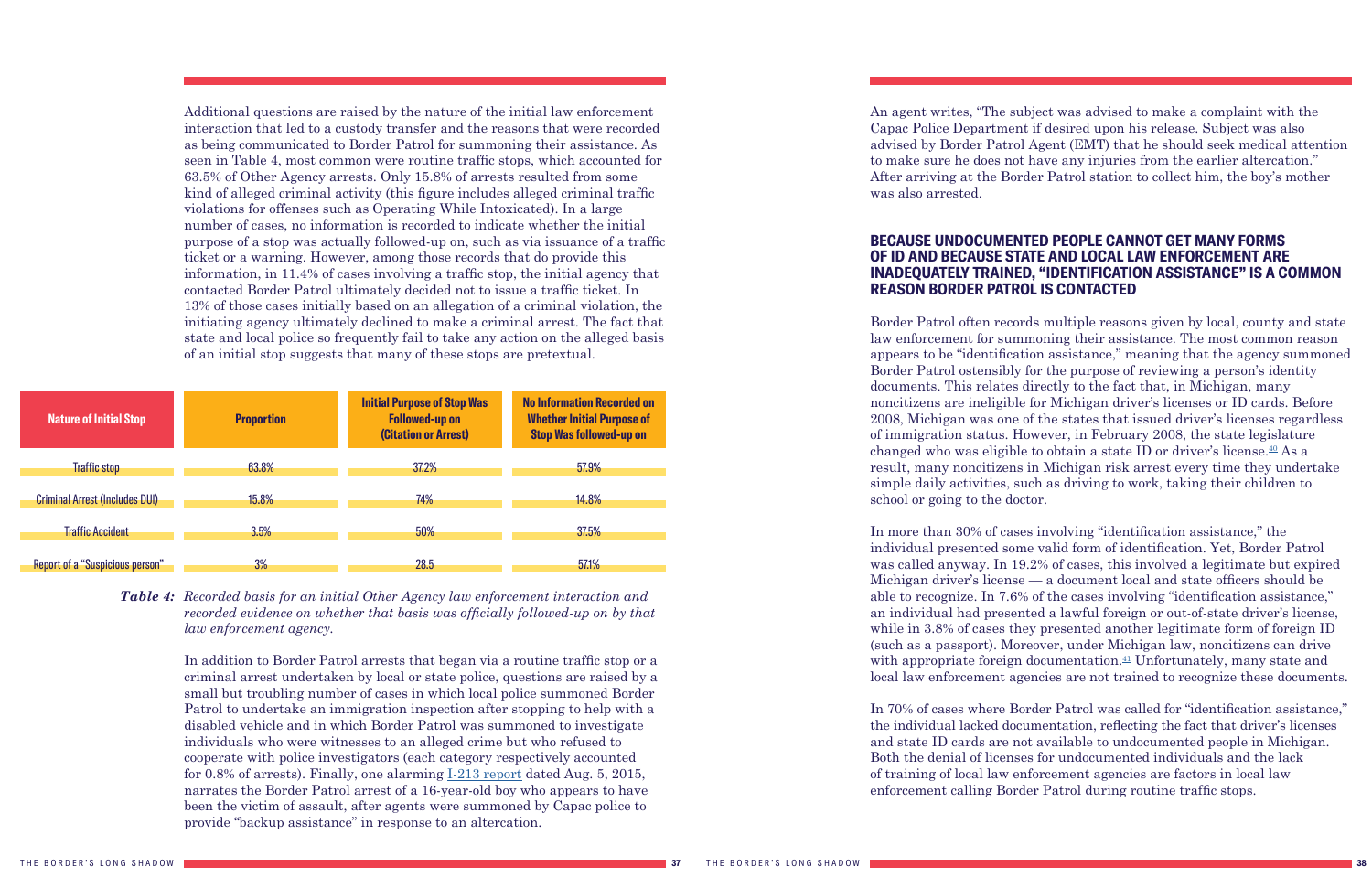<span id="page-19-1"></span>Additional questions are raised by the nature of the initial law enforcement interaction that led to a custody transfer and the reasons that were recorded as being communicated to Border Patrol for summoning their assistance. As seen in Table 4, most common were routine traffic stops, which accounted for 63.5% of Other Agency arrests. Only 15.8% of arrests resulted from some kind of alleged criminal activity (this figure includes alleged criminal traffic violations for offenses such as Operating While Intoxicated). In a large number of cases, no information is recorded to indicate whether the initial purpose of a stop was actually followed-up on, such as via issuance of a traffic ticket or a warning. However, among those records that do provide this information, in 11.4% of cases involving a traffic stop, the initial agency that contacted Border Patrol ultimately decided not to issue a traffic ticket. In 13% of those cases initially based on an allegation of a criminal violation, the initiating agency ultimately declined to make a criminal arrest. The fact that state and local police so frequently fail to take any action on the alleged basis of an initial stop suggests that many of these stops are pretextual.

**Table 4:** Recorded basis for an initial Other Agency law enforcement interaction and *recorded evidence on whether that basis was officially followed-up on by that law enforcement agency.*



In addition to Border Patrol arrests that began via a routine traffic stop or a criminal arrest undertaken by local or state police, questions are raised by a small but troubling number of cases in which local police summoned Border Patrol to undertake an immigration inspection after stopping to help with a disabled vehicle and in which Border Patrol was summoned to investigate individuals who were witnesses to an alleged crime but who refused to cooperate with police investigators (each category respectively accounted for 0.8% of arrests). Finally, one alarming [I-213 report](https://www.aclumich.org/sites/default/files/capac_story.pdf) dated Aug. 5, 2015, narrates the Border Patrol arrest of a 16-year-old boy who appears to have been the victim of assault, after agents were summoned by Capac police to provide "backup assistance" in response to an altercation.

An agent writes, "The subject was advised to make a complaint with the Capac Police Department if desired upon his release. Subject was also advised by Border Patrol Agent (EMT) that he should seek medical attention to make sure he does not have any injuries from the earlier altercation." After arriving at the Border Patrol station to collect him, the boy's mother was also arrested.

#### <span id="page-19-0"></span>**BECAUSE UNDOCUMENTED PEOPLE CANNOT GET MANY FORMS OF ID AND BECAUSE STATE AND LOCAL LAW ENFORCEMENT ARE INADEQUATELY TRAINED, "IDENTIFICATION ASSISTANCE" IS A COMMON REASON BORDER PATROL IS CONTACTED**

Border Patrol often records multiple reasons given by local, county and state law enforcement for summoning their assistance. The most common reason appears to be "identification assistance," meaning that the agency summoned Border Patrol ostensibly for the purpose of reviewing a person's identity documents. This relates directly to the fact that, in Michigan, many noncitizens are ineligible for Michigan driver's licenses or ID cards. Before 2008, Michigan was one of the states that issued driver's licenses regardless of immigration status. However, in February 2008, the state legislature changed who was eligible to obtain a state ID or driver's license.<sup> $40$ </sup> As a result, many noncitizens in Michigan risk arrest every time they undertake simple daily activities, such as driving to work, taking their children to school or going to the doctor.

In more than 30% of cases involving "identification assistance," the individual presented some valid form of identification. Yet, Border Patrol was called anyway. In 19.2% of cases, this involved a legitimate but expired Michigan driver's license — a document local and state officers should be able to recognize. In 7.6% of the cases involving "identification assistance," an individual had presented a lawful foreign or out-of-state driver's license, while in 3.8% of cases they presented another legitimate form of foreign ID (such as a passport). Moreover, under Michigan law, noncitizens can drive with appropriate foreign documentation. $41$  Unfortunately, many state and local law enforcement agencies are not trained to recognize these documents.

In 70% of cases where Border Patrol was called for "identification assistance," the individual lacked documentation, reflecting the fact that driver's licenses and state ID cards are not available to undocumented people in Michigan. Both the denial of licenses for undocumented individuals and the lack of training of local law enforcement agencies are factors in local law enforcement calling Border Patrol during routine traffic stops.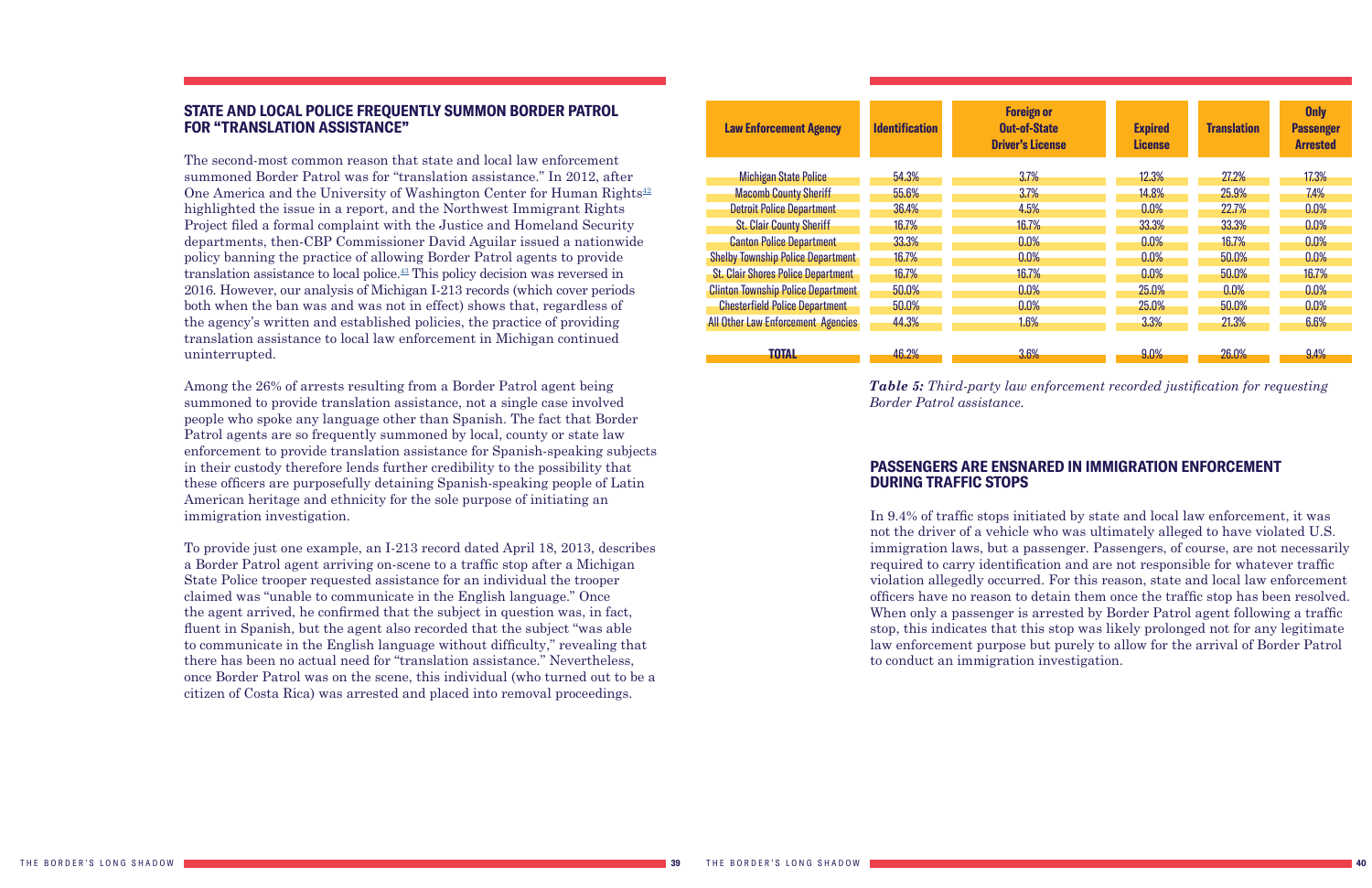#### <span id="page-20-2"></span><span id="page-20-0"></span>**STATE AND LOCAL POLICE FREQUENTLY SUMMON BORDER PATROL FOR "TRANSLATION ASSISTANCE"**

The second-most common reason that state and local law enforcement summoned Border Patrol was for "translation assistance." In 2012, after One America and the University of Washington Center for Human Rights $42$ highlighted the issue in a report, and the Northwest Immigrant Rights Project filed a formal complaint with the Justice and Homeland Security departments, then-CBP Commissioner David Aguilar issued a nationwide policy banning the practice of allowing Border Patrol agents to provide translation assistance to local police[.43](#page-27-0) This policy decision was reversed in 2016. However, our analysis of Michigan I-213 records (which cover periods both when the ban was and was not in effect) shows that, regardless of the agency's written and established policies, the practice of providing translation assistance to local law enforcement in Michigan continued uninterrupted.

Among the 26% of arrests resulting from a Border Patrol agent being summoned to provide translation assistance, not a single case involved people who spoke any language other than Spanish. The fact that Border Patrol agents are so frequently summoned by local, county or state law enforcement to provide translation assistance for Spanish-speaking subjects in their custody therefore lends further credibility to the possibility that these officers are purposefully detaining Spanish-speaking people of Latin American heritage and ethnicity for the sole purpose of initiating an immigration investigation.

To provide just one example, an I-213 record dated April 18, 2013, describes a Border Patrol agent arriving on-scene to a traffic stop after a Michigan State Police trooper requested assistance for an individual the trooper claimed was "unable to communicate in the English language." Once the agent arrived, he confirmed that the subject in question was, in fact, fluent in Spanish, but the agent also recorded that the subject "was able to communicate in the English language without difficulty," revealing that there has been no actual need for "translation assistance." Nevertheless, once Border Patrol was on the scene, this individual (who turned out to be a citizen of Costa Rica) was arrested and placed into removal proceedings.

| <b>Law Enforcement Agency</b>             | <b>Identification</b> | <b>Foreign or</b><br><b>Out-of-State</b><br><b>Driver's License</b> | <b>Expired</b><br><b>License</b> | <b>Translation</b> | <b>Only</b><br><b>Passenger</b><br><b>Arrested</b> |
|-------------------------------------------|-----------------------|---------------------------------------------------------------------|----------------------------------|--------------------|----------------------------------------------------|
| <b>Michigan State Police</b>              | 54.3%                 | 3.7%                                                                | 12.3%                            | 27.2%              | 17.3%                                              |
| <b>Macomb County Sheriff</b>              | 55.6%                 | 3.7%                                                                | 14.8%                            | 25.9%              | 7.4%                                               |
| <b>Detroit Police Department</b>          | 36.4%                 | 4.5%                                                                | 0.0%                             | 22.7%              | 0.0%                                               |
| <b>St. Clair County Sheriff</b>           | 16.7%                 | 16.7%                                                               | 33.3%                            | 33.3%              | 0.0%                                               |
| <b>Canton Police Department</b>           | 33.3%                 | 0.0%                                                                | 0.0%                             | 16.7%              | 0.0%                                               |
| <b>Shelby Township Police Department</b>  | 16.7%                 | 0.0%                                                                | 0.0%                             | 50.0%              | 0.0%                                               |
| <b>St. Clair Shores Police Department</b> | 16.7%                 | 16.7%                                                               | 0.0%                             | 50.0%              | 16.7%                                              |
| <b>Clinton Township Police Department</b> | 50.0%                 | 0.0%                                                                | 25.0%                            | 0.0%               | 0.0%                                               |
| <b>Chesterfield Police Department</b>     | 50.0%                 | 0.0%                                                                | 25.0%                            | 50.0%              | 0.0%                                               |
| <b>All Other Law Enforcement Agencies</b> | 44.3%                 | 1.6%                                                                | 3.3%                             | 21.3%              | 6.6%                                               |
| <b>TOTAL</b>                              | 46.2%                 | 3.6%                                                                | 9.0%                             | 26.0%              | 9.4%                                               |

*Table 5: Third-party law enforcement recorded justification for requesting Border Patrol assistance.*

### <span id="page-20-1"></span>**PASSENGERS ARE ENSNARED IN IMMIGRATION ENFORCEMENT DURING TRAFFIC STOPS**

In 9.4% of traffic stops initiated by state and local law enforcement, it was not the driver of a vehicle who was ultimately alleged to have violated U.S. immigration laws, but a passenger. Passengers, of course, are not necessarily required to carry identification and are not responsible for whatever traffic violation allegedly occurred. For this reason, state and local law enforcement officers have no reason to detain them once the traffic stop has been resolved. When only a passenger is arrested by Border Patrol agent following a traffic stop, this indicates that this stop was likely prolonged not for any legitimate law enforcement purpose but purely to allow for the arrival of Border Patrol to conduct an immigration investigation.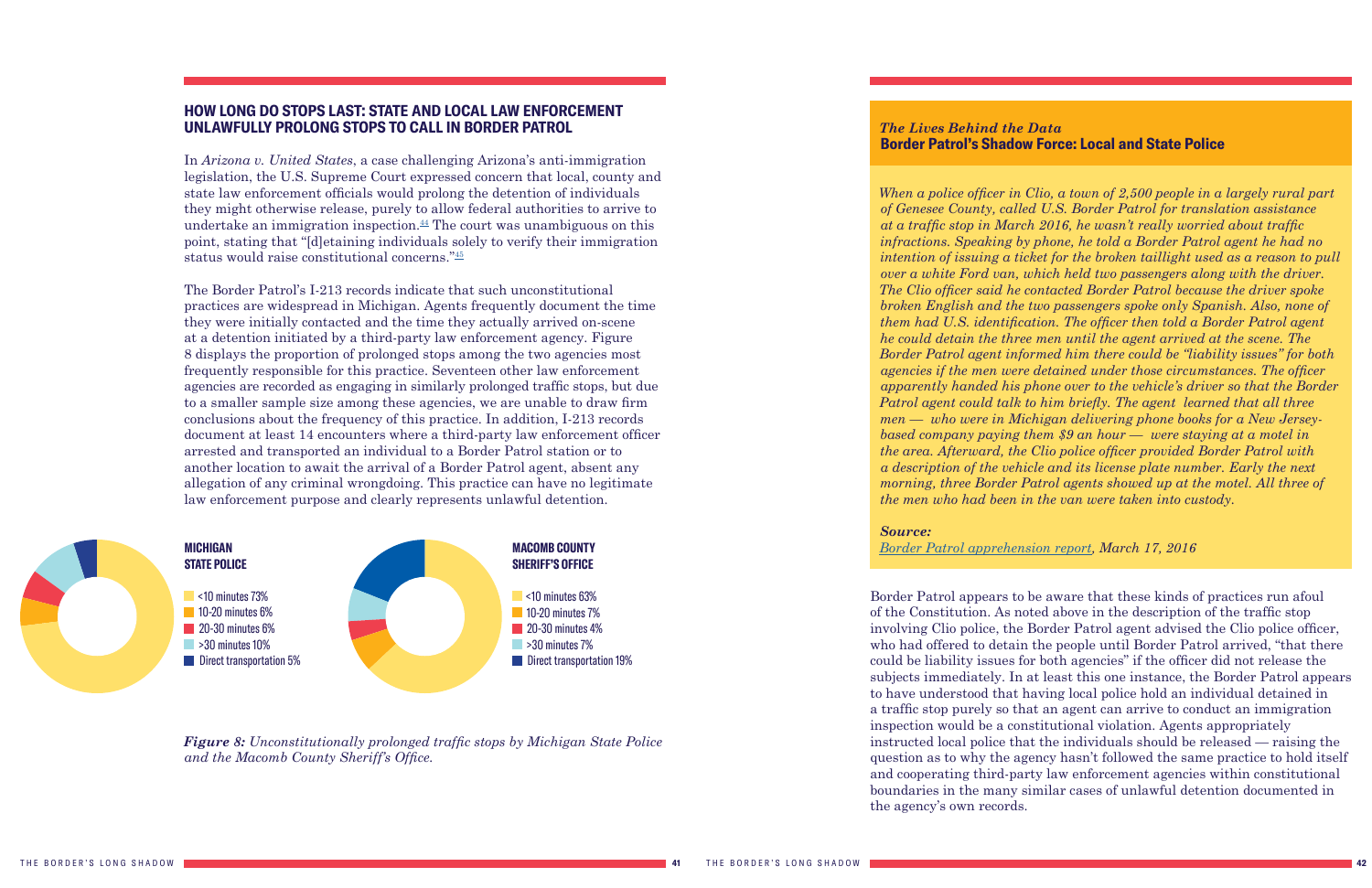#### <span id="page-21-1"></span><span id="page-21-0"></span>**HOW LONG DO STOPS LAST: STATE AND LOCAL LAW ENFORCEMENT UNLAWFULLY PROLONG STOPS TO CALL IN BORDER PATROL**

In *Arizona v. United States*, a case challenging Arizona's anti-immigration legislation, the U.S. Supreme Court expressed concern that local, county and state law enforcement officials would prolong the detention of individuals they might otherwise release, purely to allow federal authorities to arrive to undertake an immigration inspection. $44$  The court was unambiguous on this point, stating that "[d]etaining individuals solely to verify their immigration status would raise constitutional concerns."[45](#page-27-1)

The Border Patrol's I-213 records indicate that such unconstitutional practices are widespread in Michigan. Agents frequently document the time they were initially contacted and the time they actually arrived on-scene at a detention initiated by a third-party law enforcement agency. Figure 8 displays the proportion of prolonged stops among the two agencies most frequently responsible for this practice. Seventeen other law enforcement agencies are recorded as engaging in similarly prolonged traffic stops, but due to a smaller sample size among these agencies, we are unable to draw firm conclusions about the frequency of this practice. In addition, I-213 records document at least 14 encounters where a third-party law enforcement officer arrested and transported an individual to a Border Patrol station or to another location to await the arrival of a Border Patrol agent, absent any allegation of any criminal wrongdoing. This practice can have no legitimate law enforcement purpose and clearly represents unlawful detention.

*Figure 8: Unconstitutionally prolonged traffic stops by Michigan State Police and the Macomb County Sheriff's Office.*



#### *The Lives Behind the Data*  **Border Patrol's Shadow Force: Local and State Police**

*When a police officer in Clio, a town of 2,500 people in a largely rural part of Genesee County, called U.S. Border Patrol for translation assistance at a traffic stop in March 2016, he wasn't really worried about traffic infractions. Speaking by phone, he told a Border Patrol agent he had no intention of issuing a ticket for the broken taillight used as a reason to pull over a white Ford van, which held two passengers along with the driver. The Clio officer said he contacted Border Patrol because the driver spoke broken English and the two passengers spoke only Spanish. Also, none of them had U.S. identification. The officer then told a Border Patrol agent he could detain the three men until the agent arrived at the scene. The Border Patrol agent informed him there could be "liability issues" for both agencies if the men were detained under those circumstances. The officer apparently handed his phone over to the vehicle's driver so that the Border Patrol agent could talk to him briefly. The agent learned that all three men — who were in Michigan delivering phone books for a New Jerseybased company paying them \$9 an hour — were staying at a motel in the area. Afterward, the Clio police officer provided Border Patrol with a description of the vehicle and its license plate number. Early the next morning, three Border Patrol agents showed up at the motel. All three of the men who had been in the van were taken into custody.* 

#### *Source:*

#### *[Border Patrol apprehension report](https://www.aclumich.org/sites/default/files/march_17_2016_border_patrols_shadow_force_local_and_state_police.pdf), March 17, 2016*

Border Patrol appears to be aware that these kinds of practices run afoul of the Constitution. As noted above in the description of the traffic stop involving Clio police, the Border Patrol agent advised the Clio police officer, who had offered to detain the people until Border Patrol arrived, "that there could be liability issues for both agencies" if the officer did not release the subjects immediately. In at least this one instance, the Border Patrol appears to have understood that having local police hold an individual detained in a traffic stop purely so that an agent can arrive to conduct an immigration inspection would be a constitutional violation. Agents appropriately instructed local police that the individuals should be released — raising the question as to why the agency hasn't followed the same practice to hold itself and cooperating third-party law enforcement agencies within constitutional boundaries in the many similar cases of unlawful detention documented in the agency's own records.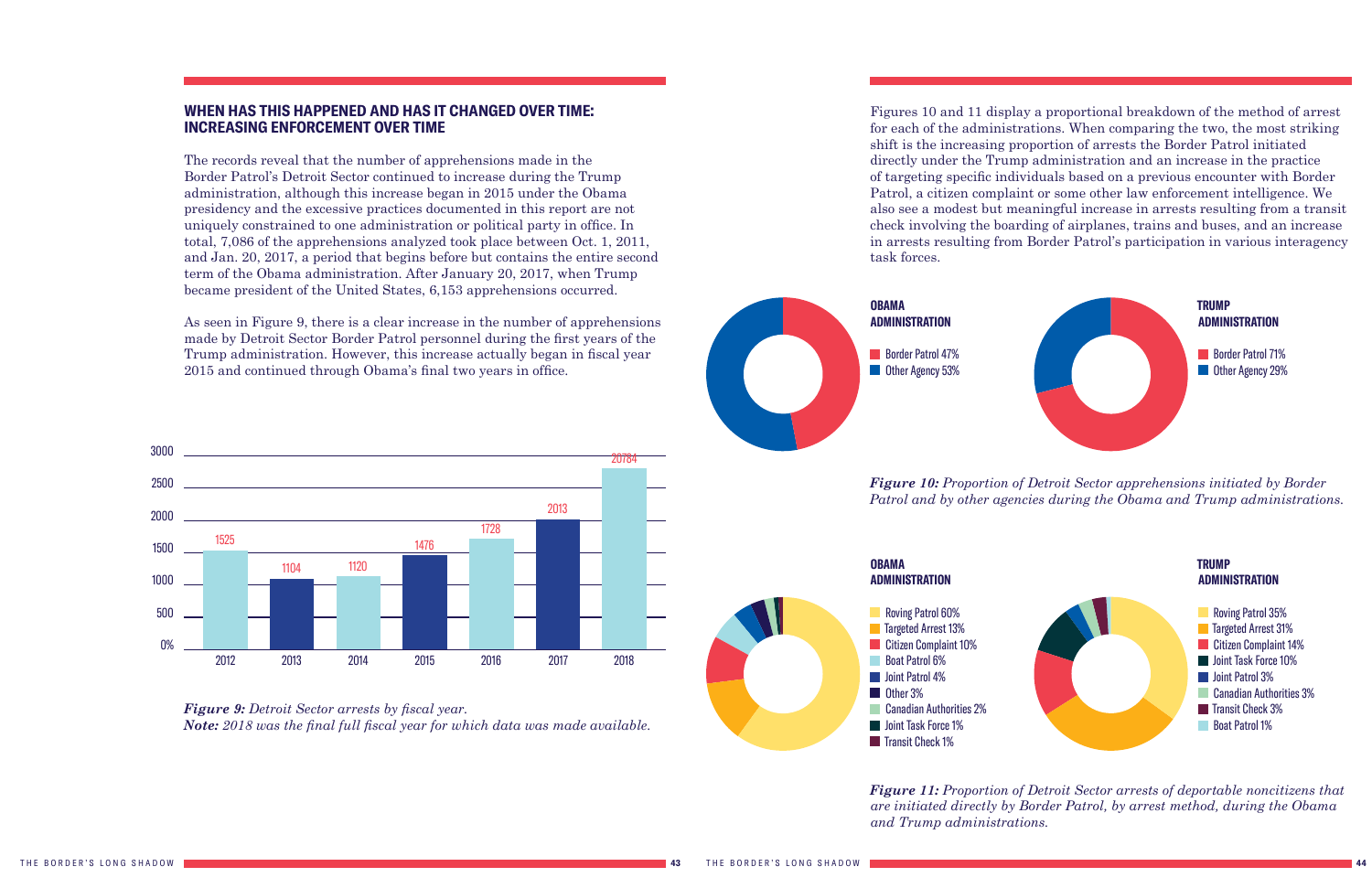#### <span id="page-22-0"></span>**WHEN HAS THIS HAPPENED AND HAS IT CHANGED OVER TIME: INCREASING ENFORCEMENT OVER TIME**

The records reveal that the number of apprehensions made in the Border Patrol's Detroit Sector continued to increase during the Trump administration, although this increase began in 2015 under the Obama presidency and the excessive practices documented in this report are not uniquely constrained to one administration or political party in office. In total, 7,086 of the apprehensions analyzed took place between Oct. 1, 2011, and Jan. 20, 2017, a period that begins before but contains the entire second term of the Obama administration. After January 20, 2017, when Trump became president of the United States, 6,153 apprehensions occurred.

As seen in Figure 9, there is a clear increase in the number of apprehensions made by Detroit Sector Border Patrol personnel during the first years of the Trump administration. However, this increase actually began in fiscal year 2015 and continued through Obama's final two years in office.





*and Trump administrations.*



*Figure 10: Proportion of Detroit Sector apprehensions initiated by Border Patrol and by other agencies during the Obama and Trump administrations.*

Figures 10 and 11 display a proportional breakdown of the method of arrest for each of the administrations. When comparing the two, the most striking shift is the increasing proportion of arrests the Border Patrol initiated directly under the Trump administration and an increase in the practice of targeting specific individuals based on a previous encounter with Border Patrol, a citizen complaint or some other law enforcement intelligence. We also see a modest but meaningful increase in arrests resulting from a transit check involving the boarding of airplanes, trains and buses, and an increase in arrests resulting from Border Patrol's participation in various interagency task forces.



*Figure 11: Proportion of Detroit Sector arrests of deportable noncitizens that are initiated directly by Border Patrol, by arrest method, during the Obama* 



Border Patrol 47% **Other Agency 53%** 



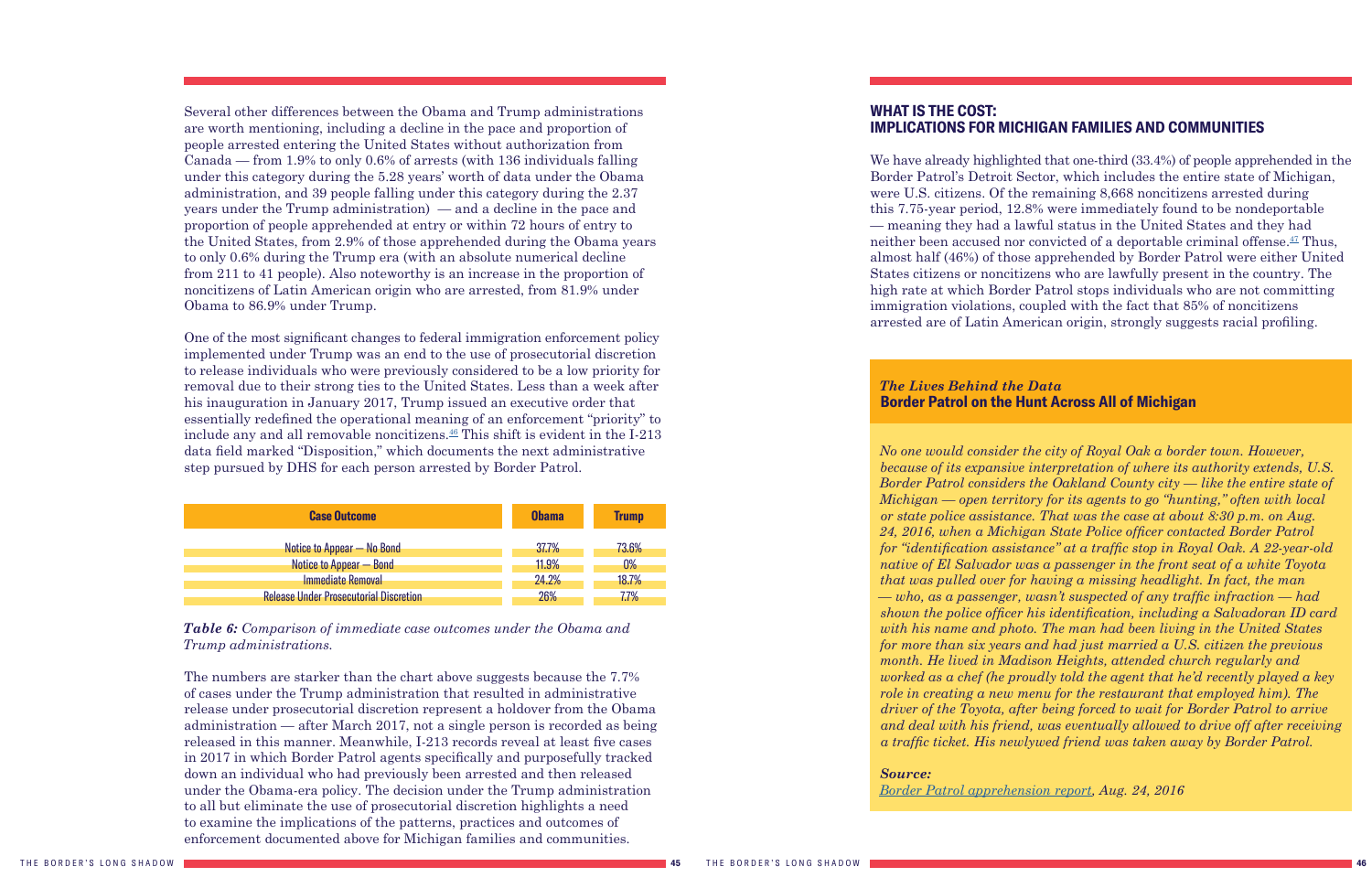<span id="page-23-1"></span>Several other differences between the Obama and Trump administrations are worth mentioning, including a decline in the pace and proportion of people arrested entering the United States without authorization from Canada — from 1.9% to only 0.6% of arrests (with 136 individuals falling under this category during the 5.28 years' worth of data under the Obama administration, and 39 people falling under this category during the 2.37 years under the Trump administration) — and a decline in the pace and proportion of people apprehended at entry or within 72 hours of entry to the United States, from 2.9% of those apprehended during the Obama years to only 0.6% during the Trump era (with an absolute numerical decline from 211 to 41 people). Also noteworthy is an increase in the proportion of noncitizens of Latin American origin who are arrested, from 81.9% under Obama to 86.9% under Trump.

One of the most significant changes to federal immigration enforcement policy implemented under Trump was an end to the use of prosecutorial discretion to release individuals who were previously considered to be a low priority for removal due to their strong ties to the United States. Less than a week after his inauguration in January 2017, Trump issued an executive order that essentially redefined the operational meaning of an enforcement "priority" to include any and all removable noncitizens. $46$  This shift is evident in the I-213 data field marked "Disposition," which documents the next administrative step pursued by DHS for each person arrested by Border Patrol.

| <b>Case Outcome</b>                           | <b>Obama</b> | <b>Trump</b> |
|-----------------------------------------------|--------------|--------------|
| Notice to Appear - No Bond                    | 37.7%        | 73.6%        |
| Notice to Appear - Bond                       | 11.9%        | $0\%$        |
| Immediate Removal                             | 24.2%        | 18.7%        |
| <b>Release Under Prosecutorial Discretion</b> | 26%          | 7.7%         |

*Table 6: Comparison of immediate case outcomes under the Obama and Trump administrations.*

The numbers are starker than the chart above suggests because the 7.7% of cases under the Trump administration that resulted in administrative release under prosecutorial discretion represent a holdover from the Obama administration — after March 2017, not a single person is recorded as being released in this manner. Meanwhile, I-213 records reveal at least five cases in 2017 in which Border Patrol agents specifically and purposefully tracked down an individual who had previously been arrested and then released under the Obama-era policy. The decision under the Trump administration to all but eliminate the use of prosecutorial discretion highlights a need to examine the implications of the patterns, practices and outcomes of enforcement documented above for Michigan families and communities.

### <span id="page-23-0"></span>**WHAT IS THE COST:**

#### **IMPLICATIONS FOR MICHIGAN FAMILIES AND COMMUNITIES**

We have already highlighted that one-third (33.4%) of people apprehended in the Border Patrol's Detroit Sector, which includes the entire state of Michigan, were U.S. citizens. Of the remaining 8,668 noncitizens arrested during this 7.75-year period, 12.8% were immediately found to be nondeportable — meaning they had a lawful status in the United States and they had neither been accused nor convicted of a deportable criminal offense.[47](#page-27-1) Thus, almost half (46%) of those apprehended by Border Patrol were either United States citizens or noncitizens who are lawfully present in the country. The high rate at which Border Patrol stops individuals who are not committing immigration violations, coupled with the fact that 85% of noncitizens arrested are of Latin American origin, strongly suggests racial profiling.

#### *The Lives Behind the Data*  **Border Patrol on the Hunt Across All of Michigan**

*No one would consider the city of Royal Oak a border town. However, because of its expansive interpretation of where its authority extends, U.S. Border Patrol considers the Oakland County city — like the entire state of Michigan — open territory for its agents to go "hunting," often with local or state police assistance. That was the case at about 8:30 p.m. on Aug. 24, 2016, when a Michigan State Police officer contacted Border Patrol for "identification assistance" at a traffic stop in Royal Oak. A 22-year-old native of El Salvador was a passenger in the front seat of a white Toyota that was pulled over for having a missing headlight. In fact, the man — who, as a passenger, wasn't suspected of any traffic infraction — had shown the police officer his identification, including a Salvadoran ID card with his name and photo. The man had been living in the United States for more than six years and had just married a U.S. citizen the previous month. He lived in Madison Heights, attended church regularly and worked as a chef (he proudly told the agent that he'd recently played a key role in creating a new menu for the restaurant that employed him). The driver of the Toyota, after being forced to wait for Border Patrol to arrive and deal with his friend, was eventually allowed to drive off after receiving a traffic ticket. His newlywed friend was taken away by Border Patrol.* 

### *Source:*

*[Border Patrol apprehension report](https://www.aclumich.org/sites/default/files/aug_24_2016_border_patrol_on_the_hunt_across_all_of_michigan.pdf), Aug. 24, 2016*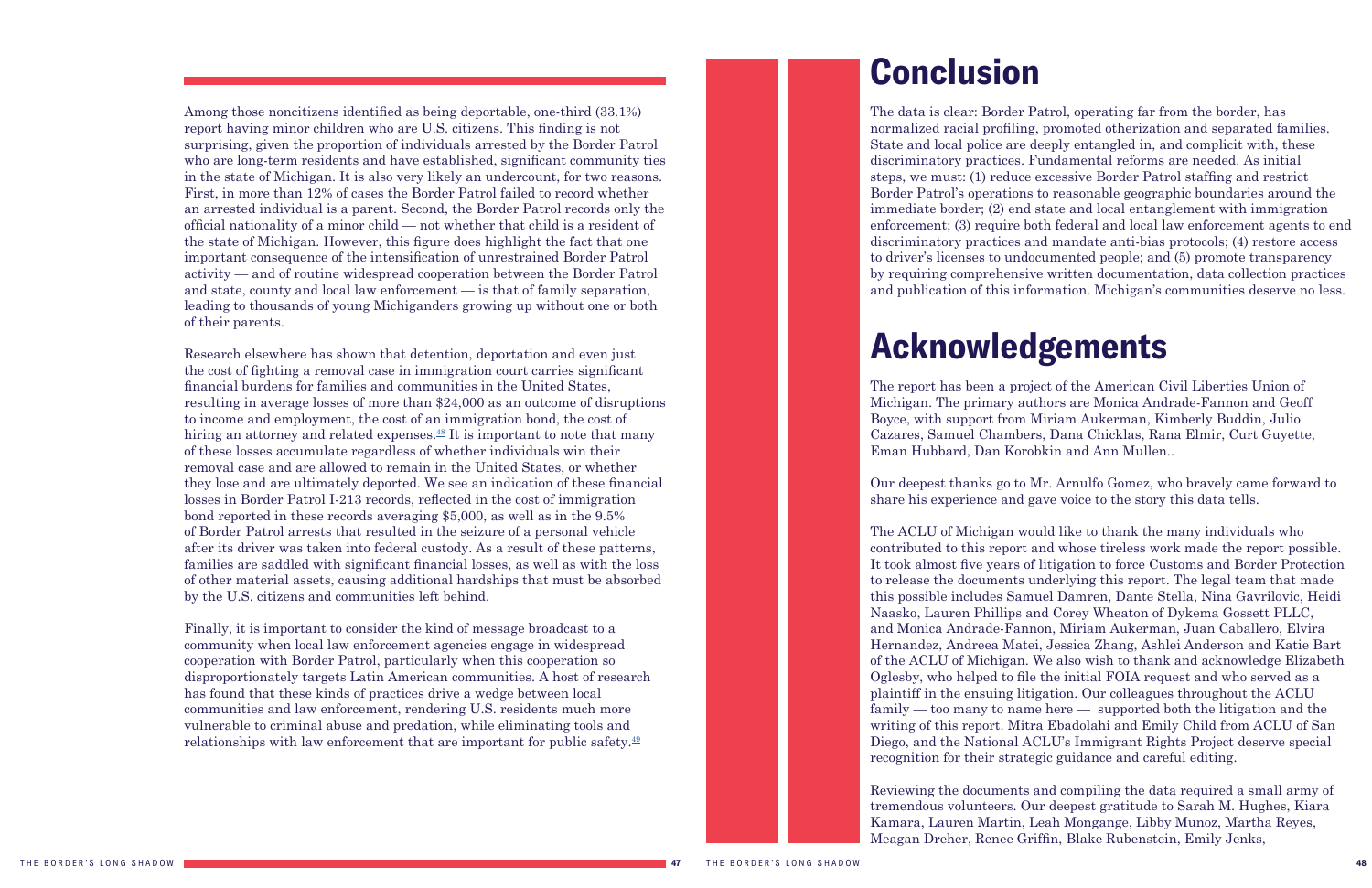## <span id="page-24-0"></span>**Conclusion**

The data is clear: Border Patrol, operating far from the border, has normalized racial profiling, promoted otherization and separated families. State and local police are deeply entangled in, and complicit with, these discriminatory practices. Fundamental reforms are needed. As initial steps, we must: (1) reduce excessive Border Patrol staffing and restrict Border Patrol's operations to reasonable geographic boundaries around the immediate border; (2) end state and local entanglement with immigration enforcement; (3) require both federal and local law enforcement agents to end discriminatory practices and mandate anti-bias protocols; (4) restore access to driver's licenses to undocumented people; and (5) promote transparency by requiring comprehensive written documentation, data collection practices and publication of this information. Michigan's communities deserve no less.

## <span id="page-24-1"></span>**Acknowledgements**

The report has been a project of the American Civil Liberties Union of Michigan. The primary authors are Monica Andrade-Fannon and Geoff Boyce, with support from Miriam Aukerman, Kimberly Buddin, Julio Cazares, Samuel Chambers, Dana Chicklas, Rana Elmir, Curt Guyette, Eman Hubbard, Dan Korobkin and Ann Mullen..

Our deepest thanks go to Mr. Arnulfo Gomez, who bravely came forward to share his experience and gave voice to the story this data tells.

The ACLU of Michigan would like to thank the many individuals who contributed to this report and whose tireless work made the report possible. It took almost five years of litigation to force Customs and Border Protection to release the documents underlying this report. The legal team that made this possible includes Samuel Damren, Dante Stella, Nina Gavrilovic, Heidi Naasko, Lauren Phillips and Corey Wheaton of Dykema Gossett PLLC, and Monica Andrade-Fannon, Miriam Aukerman, Juan Caballero, Elvira Hernandez, Andreea Matei, Jessica Zhang, Ashlei Anderson and Katie Bart of the ACLU of Michigan. We also wish to thank and acknowledge Elizabeth Oglesby, who helped to file the initial FOIA request and who served as a plaintiff in the ensuing litigation. Our colleagues throughout the ACLU family — too many to name here — supported both the litigation and the writing of this report. Mitra Ebadolahi and Emily Child from ACLU of San Diego, and the National ACLU's Immigrant Rights Project deserve special recognition for their strategic guidance and careful editing.

Reviewing the documents and compiling the data required a small army of tremendous volunteers. Our deepest gratitude to Sarah M. Hughes, Kiara Kamara, Lauren Martin, Leah Mongange, Libby Munoz, Martha Reyes, Meagan Dreher, Renee Griffin, Blake Rubenstein, Emily Jenks,

<span id="page-24-2"></span>Among those noncitizens identified as being deportable, one-third (33.1%) report having minor children who are U.S. citizens. This finding is not surprising, given the proportion of individuals arrested by the Border Patrol who are long-term residents and have established, significant community ties in the state of Michigan. It is also very likely an undercount, for two reasons. First, in more than 12% of cases the Border Patrol failed to record whether an arrested individual is a parent. Second, the Border Patrol records only the official nationality of a minor child — not whether that child is a resident of the state of Michigan. However, this figure does highlight the fact that one important consequence of the intensification of unrestrained Border Patrol activity — and of routine widespread cooperation between the Border Patrol and state, county and local law enforcement — is that of family separation, leading to thousands of young Michiganders growing up without one or both of their parents.

Research elsewhere has shown that detention, deportation and even just the cost of fighting a removal case in immigration court carries significant financial burdens for families and communities in the United States, resulting in average losses of more than \$24,000 as an outcome of disruptions to income and employment, the cost of an immigration bond, the cost of hiring an attorney and related expenses. $^{48}$  It is important to note that many of these losses accumulate regardless of whether individuals win their removal case and are allowed to remain in the United States, or whether they lose and are ultimately deported. We see an indication of these financial losses in Border Patrol I-213 records, reflected in the cost of immigration bond reported in these records averaging \$5,000, as well as in the 9.5% of Border Patrol arrests that resulted in the seizure of a personal vehicle after its driver was taken into federal custody. As a result of these patterns, families are saddled with significant financial losses, as well as with the loss of other material assets, causing additional hardships that must be absorbed by the U.S. citizens and communities left behind.

Finally, it is important to consider the kind of message broadcast to a community when local law enforcement agencies engage in widespread cooperation with Border Patrol, particularly when this cooperation so disproportionately targets Latin American communities. A host of research has found that these kinds of practices drive a wedge between local communities and law enforcement, rendering U.S. residents much more vulnerable to criminal abuse and predation, while eliminating tools and relationships with law enforcement that are important for public safety.[49](#page-27-1)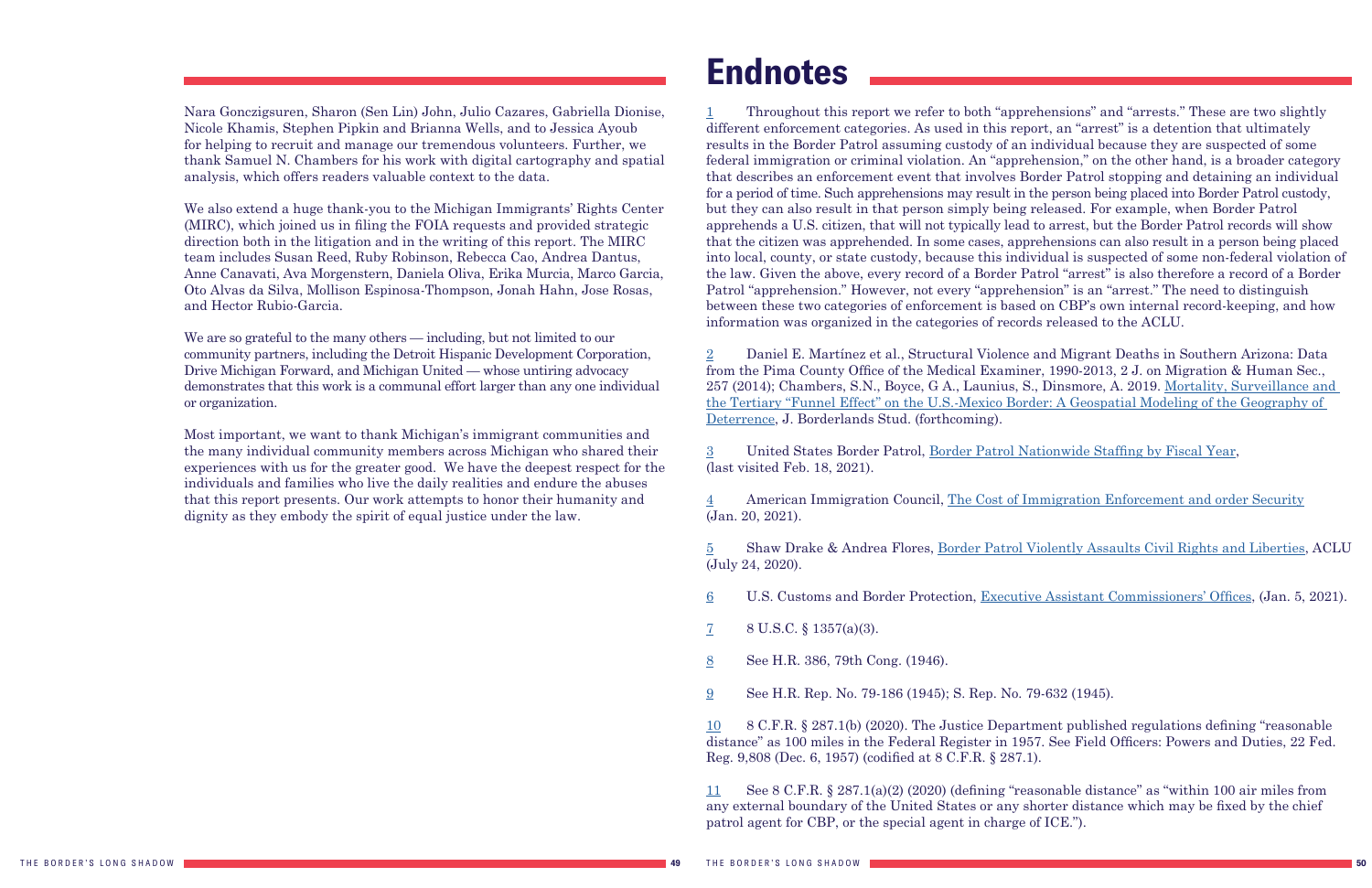Nara Gonczigsuren, Sharon (Sen Lin) John, Julio Cazares, Gabriella Dionise, Nicole Khamis, Stephen Pipkin and Brianna Wells, and to Jessica Ayoub for helping to recruit and manage our tremendous volunteers. Further, we thank Samuel N. Chambers for his work with digital cartography and spatial analysis, which offers readers valuable context to the data.

We are so grateful to the many others — including, but not limited to our community partners, including the Detroit Hispanic Development Corporation, Drive Michigan Forward, and Michigan United — whose untiring advocacy demonstrates that this work is a communal effort larger than any one individual or organization.

We also extend a huge thank-you to the Michigan Immigrants' Rights Center (MIRC), which joined us in filing the FOIA requests and provided strategic direction both in the litigation and in the writing of this report. The MIRC team includes Susan Reed, Ruby Robinson, Rebecca Cao, Andrea Dantus, Anne Canavati, Ava Morgenstern, Daniela Oliva, Erika Murcia, Marco Garcia, Oto Alvas da Silva, Mollison Espinosa-Thompson, Jonah Hahn, Jose Rosas, and Hector Rubio-Garcia.

Most important, we want to thank Michigan's immigrant communities and the many individual community members across Michigan who shared their experiences with us for the greater good. We have the deepest respect for the individuals and families who live the daily realities and endure the abuses that this report presents. Our work attempts to honor their humanity and dignity as they embody the spirit of equal justice under the law.

## <span id="page-25-0"></span>**Endnotes**

<span id="page-25-1"></span>[1](#page-2-1) Throughout this report we refer to both "apprehensions" and "arrests." These are two slightly different enforcement categories. As used in this report, an "arrest" is a detention that ultimately results in the Border Patrol assuming custody of an individual because they are suspected of some federal immigration or criminal violation. An "apprehension," on the other hand, is a broader category that describes an enforcement event that involves Border Patrol stopping and detaining an individual for a period of time. Such apprehensions may result in the person being placed into Border Patrol custody, but they can also result in that person simply being released. For example, when Border Patrol apprehends a U.S. citizen, that will not typically lead to arrest, but the Border Patrol records will show that the citizen was apprehended. In some cases, apprehensions can also result in a person being placed into local, county, or state custody, because this individual is suspected of some non-federal violation of the law. Given the above, every record of a Border Patrol "arrest" is also therefore a record of a Border Patrol "apprehension." However, not every "apprehension" is an "arrest." The need to distinguish between these two categories of enforcement is based on CBP's own internal record-keeping, and how information was organized in the categories of records released to the ACLU.

[2](#page-7-1) Daniel E. Martínez et al., Structural Violence and Migrant Deaths in Southern Arizona: Data from the Pima County Office of the Medical Examiner, 1990-2013, 2 J. on Migration & Human Sec., 257 (2014); Chambers, S.N., Boyce, G A., Launius, S., Dinsmore, A. 2019. [Mortality, Surveillance and](https://www.tandfonline.com/doi/full/10.1080/08865655.2019.1570861)  [the Tertiary "Funnel Effect" on the U.S.-Mexico Border: A Geospatial Modeling of the Geography of](https://www.tandfonline.com/doi/full/10.1080/08865655.2019.1570861)  [Deterrence](https://www.tandfonline.com/doi/full/10.1080/08865655.2019.1570861), J. Borderlands Stud. (forthcoming).

[3](#page-7-1) United States Border Patrol, [Border Patrol Nationwide Staffing by Fiscal Year](https://www.cbp.gov/sites/default/files/assets/documents/2020-Jan/U.S.%20Border%20Patrol%20Fiscal%20Year%20Staffing%20Statistics%20%28FY%201992%20-%20FY%202019%29_0.pdf), (last visited Feb. 18, 2021).

[4](#page-7-1) American Immigration Council, [The Cost of Immigration Enforcement and order Security](https://www.americanimmigrationcouncil.org/research/the-cost-of-immigration-enforcement-and-border-security) (Jan. 20, 2021).

[5](#page-7-1) Shaw Drake & Andrea Flores, [Border Patrol Violently Assaults Civil Rights and Liberties](https://www.aclu.org/news/immigrants-rights/border-patrol-violently-assaults-civil-rights-and-liberties/), ACLU (July 24, 2020).

[6](#page-7-1) U.S. Customs and Border Protection, [Executive Assistant Commissioners' Offices](https://www.cbp.gov/about/leadership-organization/executive-assistant-commissioners-offices), (Jan. 5, 2021).

[7](#page-7-1) 8 U.S.C. § 1357(a)(3).

[8](#page-7-1) See H.R. 386, 79th Cong. (1946).

[9](#page-7-1) See H.R. Rep. No. 79-186 (1945); S. Rep. No. 79-632 (1945).

[10](#page-7-1) 8 C.F.R. § 287.1(b) (2020). The Justice Department published regulations defining "reasonable distance" as 100 miles in the Federal Register in 1957. See Field Officers: Powers and Duties, 22 Fed. Reg. 9,808 (Dec. 6, 1957) (codified at 8 C.F.R. § 287.1).

[11](#page-7-1) See 8 C.F.R. § 287.1(a)(2) (2020) (defining "reasonable distance" as "within 100 air miles from any external boundary of the United States or any shorter distance which may be fixed by the chief patrol agent for CBP, or the special agent in charge of ICE.").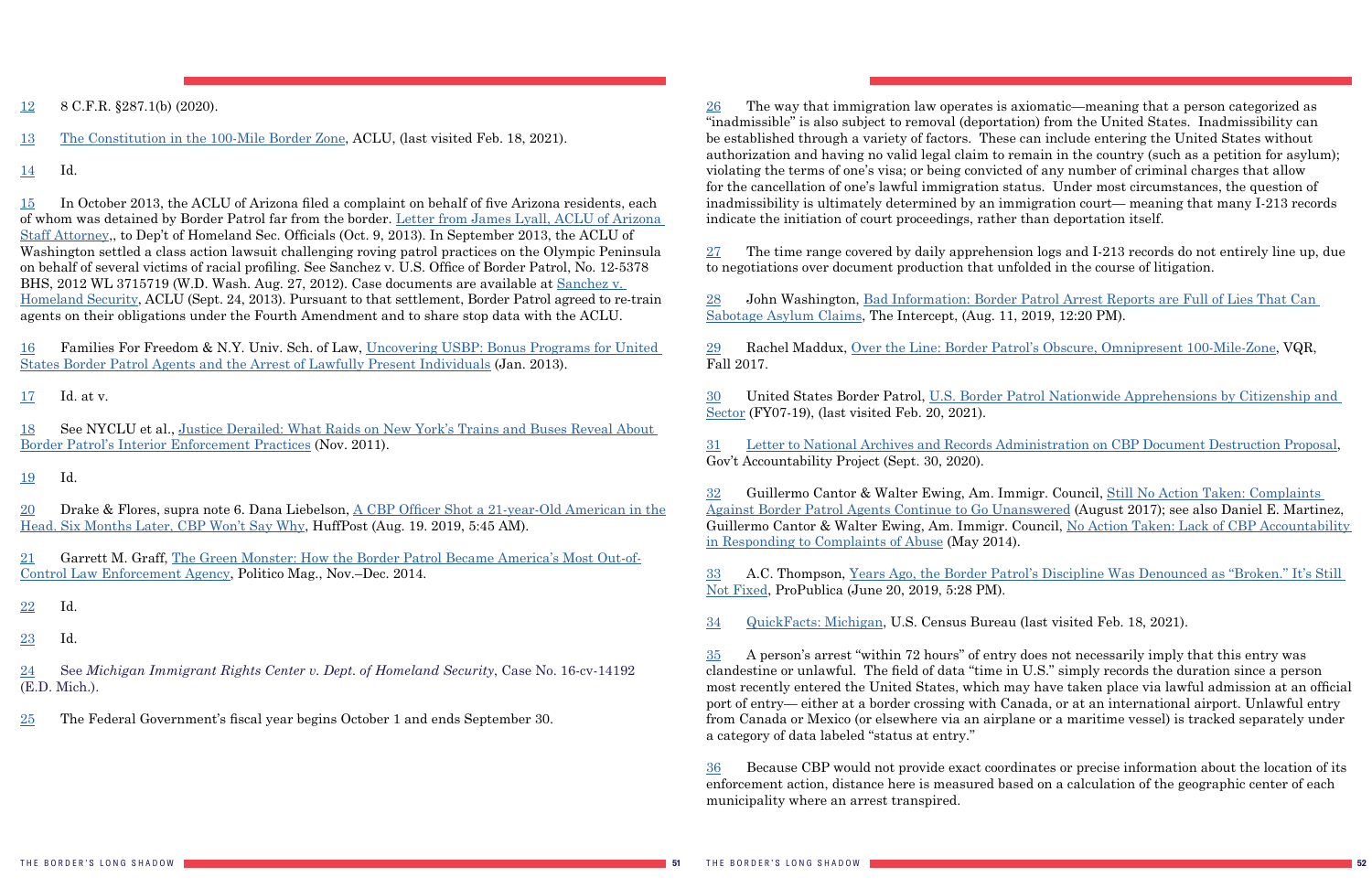<span id="page-26-0"></span>[12](#page-7-1) 8 C.F.R. §287.1(b) (2020).

[13](#page-7-1) [The Constitution in the 100-Mile Border Zone,](https://www.aclu.org/other/constitution-100-mile-border-zone) ACLU, (last visited Feb. 18, 2021).

[14](#page-7-1) Id.

[15](#page-7-1) In October 2013, the ACLU of Arizona filed a complaint on behalf of five Arizona residents, each of whom was detained by Border Patrol far from the border. [Letter from James Lyall, ACLU of Arizona](https://www.acluaz.org/sites/default/files/documents/ACLU%20AZ%20Complaint%20re%20CBP%20Roving%20Patrols%20Oct%209%202013.pdf)  [Staff Attorney](https://www.acluaz.org/sites/default/files/documents/ACLU%20AZ%20Complaint%20re%20CBP%20Roving%20Patrols%20Oct%209%202013.pdf),, to Dep't of Homeland Sec. Officials (Oct. 9, 2013). In September 2013, the ACLU of Washington settled a class action lawsuit challenging roving patrol practices on the Olympic Peninsula on behalf of several victims of racial profiling. See Sanchez v. U.S. Office of Border Patrol, No. 12-5378 BHS, 2012 WL 3715719 (W.D. Wash. Aug. 27, 2012). Case documents are available at [Sanchez v.](https://aclu-wa.org/cases/sanchez-v-homeland-security-0)  [Homeland Security](https://aclu-wa.org/cases/sanchez-v-homeland-security-0), ACLU (Sept. 24, 2013). Pursuant to that settlement, Border Patrol agreed to re-train agents on their obligations under the Fourth Amendment and to share stop data with the ACLU.

[16](#page-7-1) Families For Freedom & N.Y. Univ. Sch. of Law, [Uncovering USBP: Bonus Programs for United](https://familiesforfreedom.org/sites/default/files/resources/Uncovering%20USBP-FFF%20Report%202013.pdf)  [States Border Patrol Agents and the Arrest of Lawfully Present Individuals](https://familiesforfreedom.org/sites/default/files/resources/Uncovering%20USBP-FFF%20Report%202013.pdf) (Jan. 2013).

[17](#page-7-1) Id. at v.

[18](#page-7-1) See NYCLU et al., [Justice Derailed: What Raids on New York's Trains and Buses Reveal About](https://www.nyclu.org/sites/default/files/publications/NYCLU_justicederailedweb_0.pdf)  [Border Patrol's Interior Enforcement Practices](https://www.nyclu.org/sites/default/files/publications/NYCLU_justicederailedweb_0.pdf) (Nov. 2011).

[19](#page-7-1) Id.

 $27$  The time range covered by daily apprehension logs and I-213 records do not entirely line up, due to negotiations over document production that unfolded in the course of litigation.

[20](#page-8-1) Drake & Flores, supra note 6. Dana Liebelson, [A CBP Officer Shot a 21-year-Old American in the](https://www.huffpost.com/entry/cbp-shooting-unarmed-vehicles_n_5d24cd0ae4b0583e4828365f) [Head. Six Months Later, CBP Won't Say Why](https://www.huffpost.com/entry/cbp-shooting-unarmed-vehicles_n_5d24cd0ae4b0583e4828365f), HuffPost (Aug. 19. 2019, 5:45 AM).

[21](#page-8-1) Garrett M. Graff, [The Green Monster: How the Border Patrol Became America's Most Out-of-](https://www.politico.com/magazine/story/2014/10/border-patrol-the-green-monster-112220/)[Control Law Enforcement Agency](https://www.politico.com/magazine/story/2014/10/border-patrol-the-green-monster-112220/), Politico Mag., Nov.–Dec. 2014.

[22](#page-8-1) Id.

[23](#page-8-1) Id.

[24](#page-8-1) See *Michigan Immigrant Rights Center v. Dept. of Homeland Security*, Case No. 16-cv-14192 (E.D. Mich.).

[25](#page-8-1) The Federal Government's fiscal year begins October 1 and ends September 30.

<span id="page-26-1"></span>[26](#page-8-1) The way that immigration law operates is axiomatic—meaning that a person categorized as "inadmissible" is also subject to removal (deportation) from the United States. Inadmissibility can be established through a variety of factors. These can include entering the United States without authorization and having no valid legal claim to remain in the country (such as a petition for asylum); violating the terms of one's visa; or being convicted of any number of criminal charges that allow for the cancellation of one's lawful immigration status. Under most circumstances, the question of inadmissibility is ultimately determined by an immigration court— meaning that many I-213 records indicate the initiation of court proceedings, rather than deportation itself.

[28](#page-9-0) John Washington, [Bad Information: Border Patrol Arrest Reports are Full of Lies That Can](https://theintercept.com/2019/08/11/border-patrol-asylum-claim/)  [Sabotage Asylum Claims](https://theintercept.com/2019/08/11/border-patrol-asylum-claim/), The Intercept, (Aug. 11, 2019, 12:20 PM).

[29](#page-10-0) Rachel Maddux, [Over the Line: Border Patrol's Obscure, Omnipresent 100-Mile-Zone](https://www.vqronline.org/reporting-articles/2017/10/over-line), VQR, Fall 2017.

[30](#page-10-0) United States Border Patrol, [U.S. Border Patrol Nationwide Apprehensions by Citizenship and](https://www.cbp.gov/sites/default/files/assets/documents/2020-Jan/U.S.%20Border%20Patrol%20Nationwide%20Apprehensions%20by%20Citizenship%20and%20Sector%20%28FY2007%20-%20FY%202019%29_1.pdf)  [Sector](https://www.cbp.gov/sites/default/files/assets/documents/2020-Jan/U.S.%20Border%20Patrol%20Nationwide%20Apprehensions%20by%20Citizenship%20and%20Sector%20%28FY2007%20-%20FY%202019%29_1.pdf) (FY07-19), (last visited Feb. 20, 2021).

[31](#page-11-1) [Letter to National Archives and Records Administration on CBP Document Destruction Proposal](https://whistleblower.org/letter/letter-to-national-archives-and-records-administration-on-cbp-document-destruction-proposal/), Gov't Accountability Project (Sept. 30, 2020).

[32](#page-11-1) Guillermo Cantor & Walter Ewing, Am. Immigr. Council, [Still No Action Taken: Complaints](https://www.americanimmigrationcouncil.org/sites/default/files/research/still_no_action_taken_complaints_against_border_patrol_agents_continue_to_go_unanswered.pdf)  [Against Border Patrol Agents Continue to Go Unanswered](https://www.americanimmigrationcouncil.org/sites/default/files/research/still_no_action_taken_complaints_against_border_patrol_agents_continue_to_go_unanswered.pdf) (August 2017); see also Daniel E. Martinez, Guillermo Cantor & Walter Ewing, Am. Immigr. Council, [No Action Taken: Lack of CBP Accountability](https://www.americanimmigrationcouncil.org/sites/default/files/research/No%20Action%20Taken_Final.pdf)  [in Responding to Complaints of Abuse](https://www.americanimmigrationcouncil.org/sites/default/files/research/No%20Action%20Taken_Final.pdf) (May 2014).

[33](#page-11-1) A.C. Thompson, [Years Ago, the Border Patrol's Discipline Was Denounced as "Broken." It's Still](https://www.propublica.org/article/border-patrol-discipline-system-was-denounced-as-broken-still-not-fixed)  [Not Fixed,](https://www.propublica.org/article/border-patrol-discipline-system-was-denounced-as-broken-still-not-fixed) ProPublica (June 20, 2019, 5:28 PM).

[34](#page-12-2) [QuickFacts: Michigan,](https://www.census.gov/quickfacts/fact/table/MI#) U.S. Census Bureau (last visited Feb. 18, 2021).

[35](#page-12-2) A person's arrest "within 72 hours" of entry does not necessarily imply that this entry was clandestine or unlawful. The field of data "time in U.S." simply records the duration since a person most recently entered the United States, which may have taken place via lawful admission at an official port of entry— either at a border crossing with Canada, or at an international airport. Unlawful entry from Canada or Mexico (or elsewhere via an airplane or a maritime vessel) is tracked separately under a category of data labeled "status at entry."

[36](#page-14-1) Because CBP would not provide exact coordinates or precise information about the location of its enforcement action, distance here is measured based on a calculation of the geographic center of each municipality where an arrest transpired.